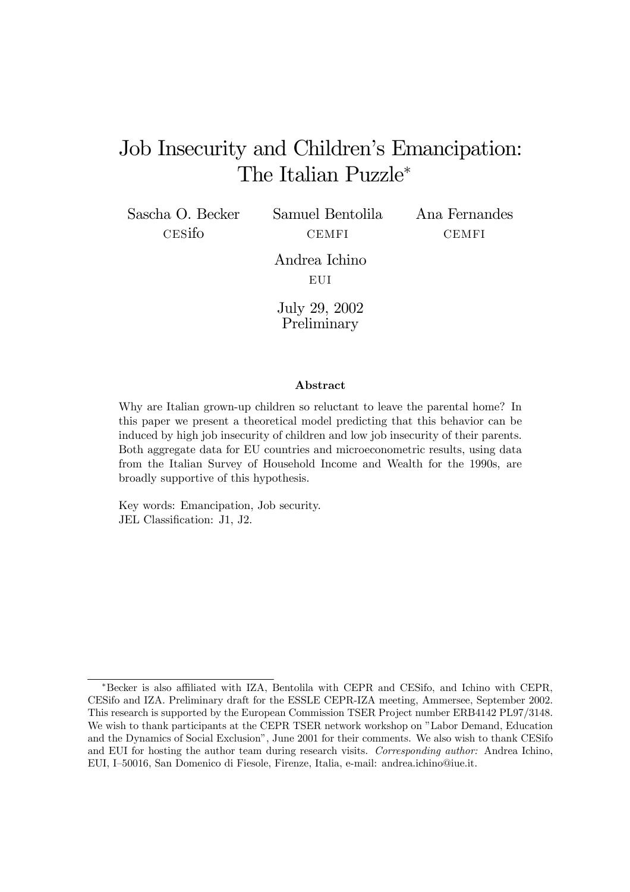# Job Insecurity and Children's Emancipation: The Italian Puzzle<sup>∗</sup>

Sascha O. Becker cesifo

Samuel Bentolila **CEMFI** 

Ana Fernandes CEMFI

Andrea Ichino **EUI** 

July 29, 2002 Preliminary

#### Abstract

Why are Italian grown-up children so reluctant to leave the parental home? In this paper we present a theoretical model predicting that this behavior can be induced by high job insecurity of children and low job insecurity of their parents. Both aggregate data for EU countries and microeconometric results, using data from the Italian Survey of Household Income and Wealth for the 1990s, are broadly supportive of this hypothesis.

Key words: Emancipation, Job security. JEL Classification: J1, J2.

<sup>∗</sup>Becker is also affiliated with IZA, Bentolila with CEPR and CESifo, and Ichino with CEPR, CESifo and IZA. Preliminary draft for the ESSLE CEPR-IZA meeting, Ammersee, September 2002. This research is supported by the European Commission TSER Project number ERB4142 PL97/3148. We wish to thank participants at the CEPR TSER network workshop on "Labor Demand, Education and the Dynamics of Social Exclusion", June 2001 for their comments. We also wish to thank CESifo and EUI for hosting the author team during research visits. Corresponding author: Andrea Ichino, EUI, I—50016, San Domenico di Fiesole, Firenze, Italia, e-mail: andrea.ichino@iue.it.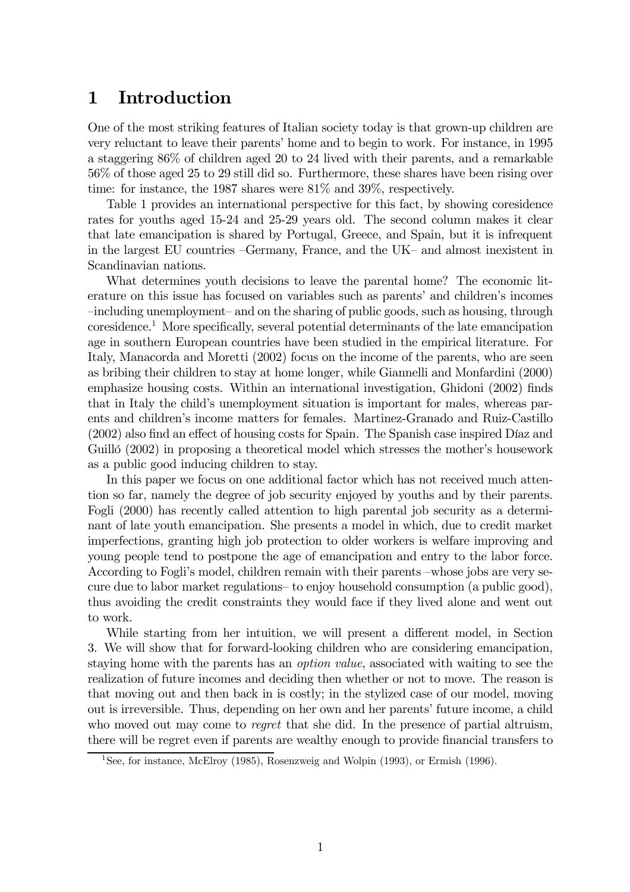# 1 Introduction

One of the most striking features of Italian society today is that grown-up children are very reluctant to leave their parents' home and to begin to work. For instance, in 1995 a staggering 86% of children aged 20 to 24 lived with their parents, and a remarkable 56% of those aged 25 to 29 still did so. Furthermore, these shares have been rising over time: for instance, the 1987 shares were 81% and 39%, respectively.

Table 1 provides an international perspective for this fact, by showing coresidence rates for youths aged 15-24 and 25-29 years old. The second column makes it clear that late emancipation is shared by Portugal, Greece, and Spain, but it is infrequent in the largest EU countries —Germany, France, and the UK— and almost inexistent in Scandinavian nations.

What determines youth decisions to leave the parental home? The economic literature on this issue has focused on variables such as parents' and children's incomes —including unemployment— and on the sharing of public goods, such as housing, through coresidence.1 More specifically, several potential determinants of the late emancipation age in southern European countries have been studied in the empirical literature. For Italy, Manacorda and Moretti (2002) focus on the income of the parents, who are seen as bribing their children to stay at home longer, while Giannelli and Monfardini (2000) emphasize housing costs. Within an international investigation, Ghidoni (2002) finds that in Italy the child's unemployment situation is important for males, whereas parents and children's income matters for females. Martinez-Granado and Ruiz-Castillo (2002) also find an effect of housing costs for Spain. The Spanish case inspired Díaz and Guilló (2002) in proposing a theoretical model which stresses the mother's housework as a public good inducing children to stay.

In this paper we focus on one additional factor which has not received much attention so far, namely the degree of job security enjoyed by youths and by their parents. Fogli (2000) has recently called attention to high parental job security as a determinant of late youth emancipation. She presents a model in which, due to credit market imperfections, granting high job protection to older workers is welfare improving and young people tend to postpone the age of emancipation and entry to the labor force. According to Fogli's model, children remain with their parents —whose jobs are very secure due to labor market regulations— to enjoy household consumption (a public good), thus avoiding the credit constraints they would face if they lived alone and went out to work.

While starting from her intuition, we will present a different model, in Section 3. We will show that for forward-looking children who are considering emancipation, staying home with the parents has an option value, associated with waiting to see the realization of future incomes and deciding then whether or not to move. The reason is that moving out and then back in is costly; in the stylized case of our model, moving out is irreversible. Thus, depending on her own and her parents' future income, a child who moved out may come to *regret* that she did. In the presence of partial altruism, there will be regret even if parents are wealthy enough to provide financial transfers to

<sup>&</sup>lt;sup>1</sup>See, for instance, McElroy (1985), Rosenzweig and Wolpin (1993), or Ermish (1996).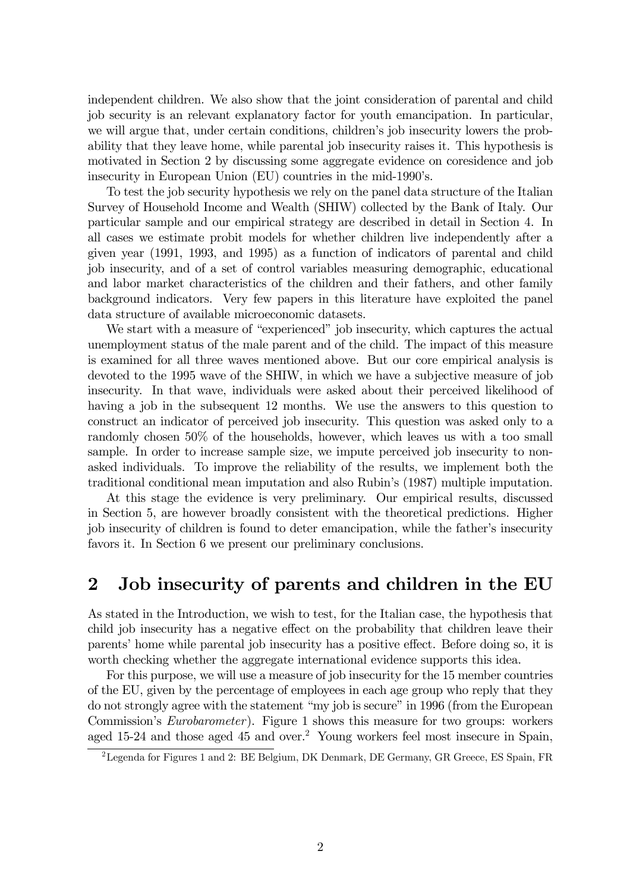independent children. We also show that the joint consideration of parental and child job security is an relevant explanatory factor for youth emancipation. In particular, we will argue that, under certain conditions, children's job insecurity lowers the probability that they leave home, while parental job insecurity raises it. This hypothesis is motivated in Section 2 by discussing some aggregate evidence on coresidence and job insecurity in European Union (EU) countries in the mid-1990's.

To test the job security hypothesis we rely on the panel data structure of the Italian Survey of Household Income and Wealth (SHIW) collected by the Bank of Italy. Our particular sample and our empirical strategy are described in detail in Section 4. In all cases we estimate probit models for whether children live independently after a given year (1991, 1993, and 1995) as a function of indicators of parental and child job insecurity, and of a set of control variables measuring demographic, educational and labor market characteristics of the children and their fathers, and other family background indicators. Very few papers in this literature have exploited the panel data structure of available microeconomic datasets.

We start with a measure of "experienced" job insecurity, which captures the actual unemployment status of the male parent and of the child. The impact of this measure is examined for all three waves mentioned above. But our core empirical analysis is devoted to the 1995 wave of the SHIW, in which we have a subjective measure of job insecurity. In that wave, individuals were asked about their perceived likelihood of having a job in the subsequent 12 months. We use the answers to this question to construct an indicator of perceived job insecurity. This question was asked only to a randomly chosen 50% of the households, however, which leaves us with a too small sample. In order to increase sample size, we impute perceived job insecurity to nonasked individuals. To improve the reliability of the results, we implement both the traditional conditional mean imputation and also Rubin's (1987) multiple imputation.

At this stage the evidence is very preliminary. Our empirical results, discussed in Section 5, are however broadly consistent with the theoretical predictions. Higher job insecurity of children is found to deter emancipation, while the father's insecurity favors it. In Section 6 we present our preliminary conclusions.

# 2 Job insecurity of parents and children in the EU

As stated in the Introduction, we wish to test, for the Italian case, the hypothesis that child job insecurity has a negative effect on the probability that children leave their parents' home while parental job insecurity has a positive effect. Before doing so, it is worth checking whether the aggregate international evidence supports this idea.

For this purpose, we will use a measure of job insecurity for the 15 member countries of the EU, given by the percentage of employees in each age group who reply that they do not strongly agree with the statement "my job is secure" in 1996 (from the European Commission's Eurobarometer). Figure 1 shows this measure for two groups: workers aged 15-24 and those aged 45 and over.<sup>2</sup> Young workers feel most insecure in Spain,

<sup>2</sup>Legenda for Figures 1 and 2: BE Belgium, DK Denmark, DE Germany, GR Greece, ES Spain, FR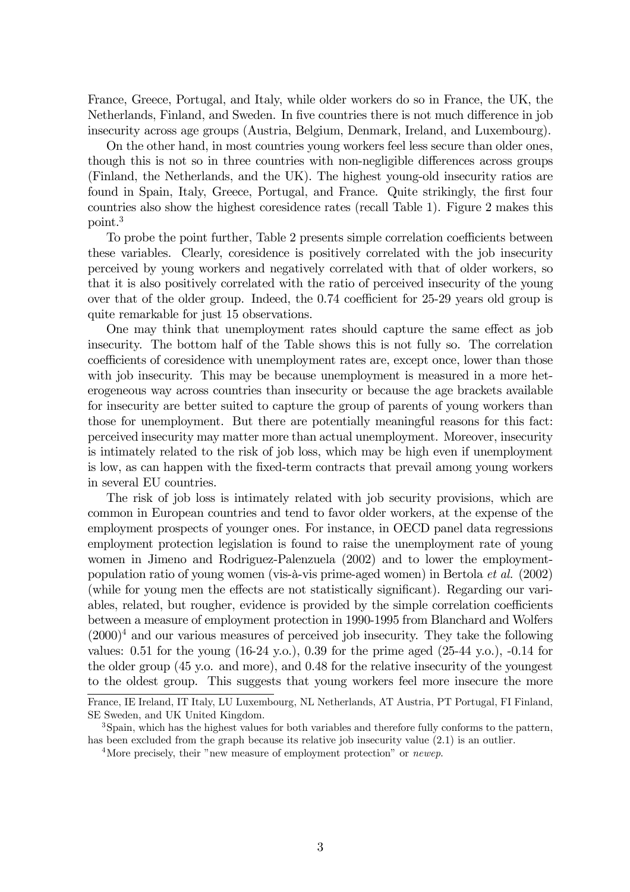France, Greece, Portugal, and Italy, while older workers do so in France, the UK, the Netherlands, Finland, and Sweden. In five countries there is not much difference in job insecurity across age groups (Austria, Belgium, Denmark, Ireland, and Luxembourg).

On the other hand, in most countries young workers feel less secure than older ones, though this is not so in three countries with non-negligible differences across groups (Finland, the Netherlands, and the UK). The highest young-old insecurity ratios are found in Spain, Italy, Greece, Portugal, and France. Quite strikingly, the first four countries also show the highest coresidence rates (recall Table 1). Figure 2 makes this point.3

To probe the point further, Table 2 presents simple correlation coefficients between these variables. Clearly, coresidence is positively correlated with the job insecurity perceived by young workers and negatively correlated with that of older workers, so that it is also positively correlated with the ratio of perceived insecurity of the young over that of the older group. Indeed, the 0.74 coefficient for 25-29 years old group is quite remarkable for just 15 observations.

One may think that unemployment rates should capture the same effect as job insecurity. The bottom half of the Table shows this is not fully so. The correlation coefficients of coresidence with unemployment rates are, except once, lower than those with job insecurity. This may be because unemployment is measured in a more heterogeneous way across countries than insecurity or because the age brackets available for insecurity are better suited to capture the group of parents of young workers than those for unemployment. But there are potentially meaningful reasons for this fact: perceived insecurity may matter more than actual unemployment. Moreover, insecurity is intimately related to the risk of job loss, which may be high even if unemployment is low, as can happen with the fixed-term contracts that prevail among young workers in several EU countries.

The risk of job loss is intimately related with job security provisions, which are common in European countries and tend to favor older workers, at the expense of the employment prospects of younger ones. For instance, in OECD panel data regressions employment protection legislation is found to raise the unemployment rate of young women in Jimeno and Rodriguez-Palenzuela (2002) and to lower the employmentpopulation ratio of young women (vis-à-vis prime-aged women) in Bertola et al. (2002) (while for young men the effects are not statistically significant). Regarding our variables, related, but rougher, evidence is provided by the simple correlation coefficients between a measure of employment protection in 1990-1995 from Blanchard and Wolfers  $(2000)^4$  and our various measures of perceived job insecurity. They take the following values:  $0.51$  for the young  $(16-24 \text{ y.o.})$ ,  $0.39$  for the prime aged  $(25-44 \text{ y.o.})$ ,  $-0.14$  for the older group (45 y.o. and more), and 0.48 for the relative insecurity of the youngest to the oldest group. This suggests that young workers feel more insecure the more

France, IE Ireland, IT Italy, LU Luxembourg, NL Netherlands, AT Austria, PT Portugal, FI Finland, SE Sweden, and UK United Kingdom.

<sup>&</sup>lt;sup>3</sup>Spain, which has the highest values for both variables and therefore fully conforms to the pattern, has been excluded from the graph because its relative job insecurity value  $(2.1)$  is an outlier.

<sup>&</sup>lt;sup>4</sup>More precisely, their "new measure of employment protection" or *newep*.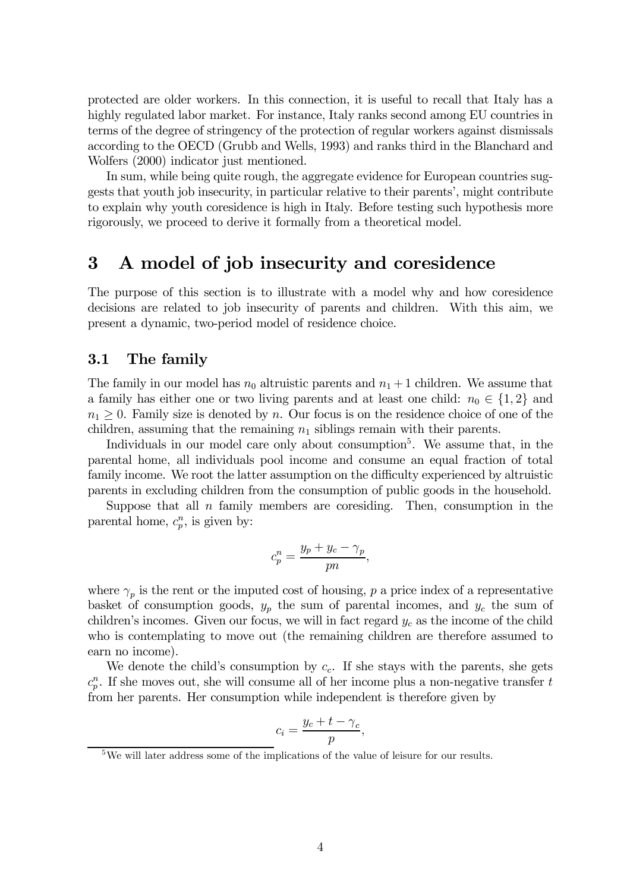protected are older workers. In this connection, it is useful to recall that Italy has a highly regulated labor market. For instance, Italy ranks second among EU countries in terms of the degree of stringency of the protection of regular workers against dismissals according to the OECD (Grubb and Wells, 1993) and ranks third in the Blanchard and Wolfers (2000) indicator just mentioned.

In sum, while being quite rough, the aggregate evidence for European countries suggests that youth job insecurity, in particular relative to their parents', might contribute to explain why youth coresidence is high in Italy. Before testing such hypothesis more rigorously, we proceed to derive it formally from a theoretical model.

# 3 A model of job insecurity and coresidence

The purpose of this section is to illustrate with a model why and how coresidence decisions are related to job insecurity of parents and children. With this aim, we present a dynamic, two-period model of residence choice.

### 3.1 The family

The family in our model has  $n_0$  altruistic parents and  $n_1 + 1$  children. We assume that a family has either one or two living parents and at least one child:  $n_0 \in \{1,2\}$  and  $n_1 \geq 0$ . Family size is denoted by n. Our focus is on the residence choice of one of the children, assuming that the remaining  $n_1$  siblings remain with their parents.

Individuals in our model care only about consumption<sup>5</sup>. We assume that, in the parental home, all individuals pool income and consume an equal fraction of total family income. We root the latter assumption on the difficulty experienced by altruistic parents in excluding children from the consumption of public goods in the household.

Suppose that all  $n$  family members are coresiding. Then, consumption in the parental home,  $c_p^n$ , is given by:

$$
c_p^n = \frac{y_p + y_c - \gamma_p}{pn},
$$

where  $\gamma_p$  is the rent or the imputed cost of housing, p a price index of a representative basket of consumption goods,  $y_p$  the sum of parental incomes, and  $y_c$  the sum of children's incomes. Given our focus, we will in fact regard  $y_c$  as the income of the child who is contemplating to move out (the remaining children are therefore assumed to earn no income).

We denote the child's consumption by  $c_c$ . If she stays with the parents, she gets  $c_p^n$ . If she moves out, she will consume all of her income plus a non-negative transfer t from her parents. Her consumption while independent is therefore given by

$$
c_i = \frac{y_c + t - \gamma_c}{p},
$$

<sup>&</sup>lt;sup>5</sup>We will later address some of the implications of the value of leisure for our results.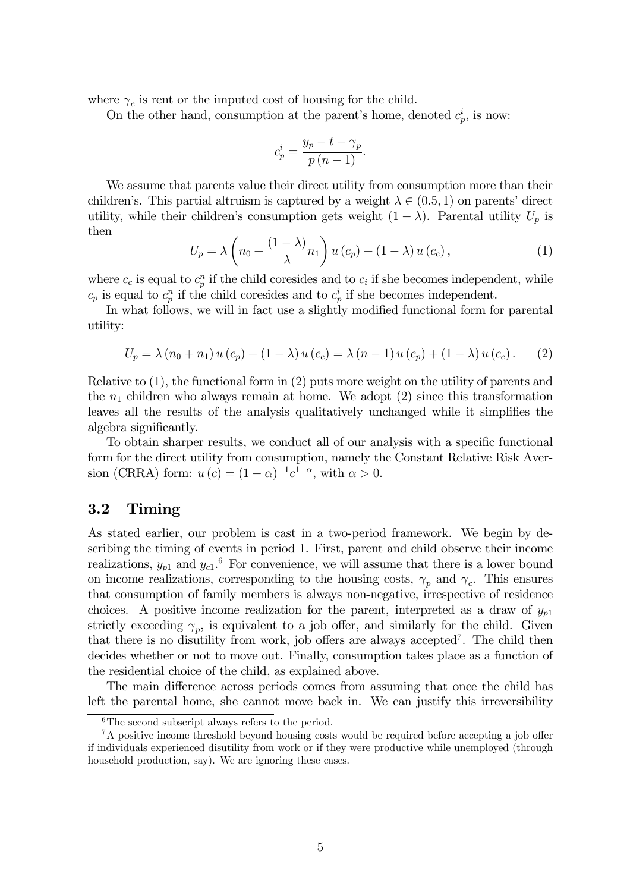where  $\gamma_c$  is rent or the imputed cost of housing for the child.

On the other hand, consumption at the parent's home, denoted  $c_p^i$ , is now:

$$
c_p^i = \frac{y_p - t - \gamma_p}{p(n-1)}.
$$

We assume that parents value their direct utility from consumption more than their children's. This partial altruism is captured by a weight  $\lambda \in (0.5, 1)$  on parents' direct utility, while their children's consumption gets weight  $(1 - \lambda)$ . Parental utility  $U_p$  is then

$$
U_p = \lambda \left( n_0 + \frac{(1 - \lambda)}{\lambda} n_1 \right) u(c_p) + (1 - \lambda) u(c_c), \qquad (1)
$$

where  $c_c$  is equal to  $c_p^n$  if the child coresides and to  $c_i$  if she becomes independent, while  $c_p$  is equal to  $c_p^n$  if the child coresides and to  $c_p^i$  if she becomes independent.

In what follows, we will in fact use a slightly modified functional form for parental utility:

$$
U_p = \lambda (n_0 + n_1) u(c_p) + (1 - \lambda) u(c_c) = \lambda (n - 1) u(c_p) + (1 - \lambda) u(c_c).
$$
 (2)

Relative to (1), the functional form in (2) puts more weight on the utility of parents and the  $n_1$  children who always remain at home. We adopt (2) since this transformation leaves all the results of the analysis qualitatively unchanged while it simplifies the algebra significantly.

To obtain sharper results, we conduct all of our analysis with a specific functional form for the direct utility from consumption, namely the Constant Relative Risk Aversion (CRRA) form:  $u(c) = (1 - \alpha)^{-1}c^{1-\alpha}$ , with  $\alpha > 0$ .

## 3.2 Timing

As stated earlier, our problem is cast in a two-period framework. We begin by describing the timing of events in period 1. First, parent and child observe their income realizations,  $y_{p1}$  and  $y_{c1}$ .<sup>6</sup> For convenience, we will assume that there is a lower bound on income realizations, corresponding to the housing costs,  $\gamma_p$  and  $\gamma_c$ . This ensures that consumption of family members is always non-negative, irrespective of residence choices. A positive income realization for the parent, interpreted as a draw of  $y_{p1}$ strictly exceeding  $\gamma_p$ , is equivalent to a job offer, and similarly for the child. Given that there is no disutility from work, job offers are always accepted<sup>7</sup>. The child then decides whether or not to move out. Finally, consumption takes place as a function of the residential choice of the child, as explained above.

The main difference across periods comes from assuming that once the child has left the parental home, she cannot move back in. We can justify this irreversibility

 ${}^{6}$ The second subscript always refers to the period.

<sup>&</sup>lt;sup>7</sup>A positive income threshold beyond housing costs would be required before accepting a job offer if individuals experienced disutility from work or if they were productive while unemployed (through household production, say). We are ignoring these cases.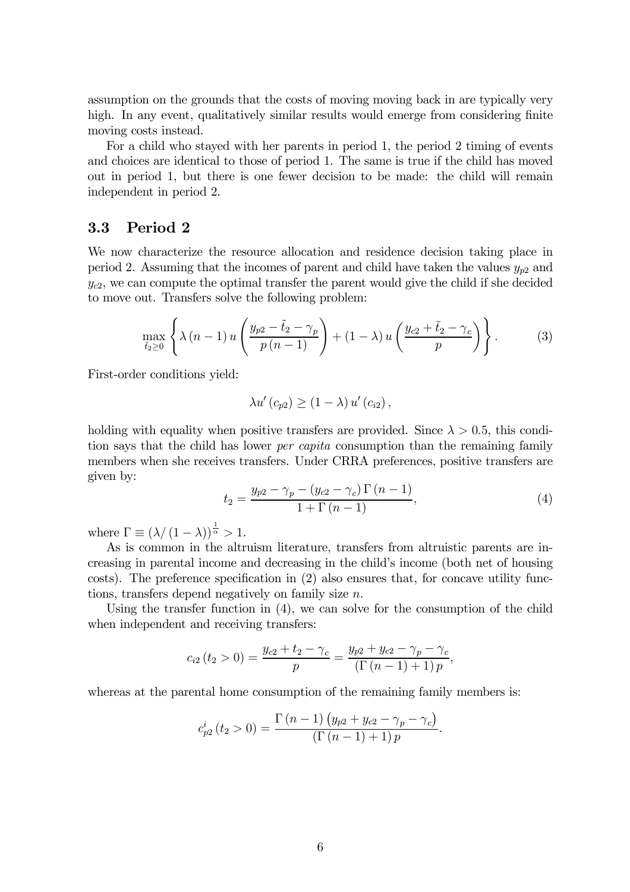assumption on the grounds that the costs of moving moving back in are typically very high. In any event, qualitatively similar results would emerge from considering finite moving costs instead.

For a child who stayed with her parents in period 1, the period 2 timing of events and choices are identical to those of period 1. The same is true if the child has moved out in period 1, but there is one fewer decision to be made: the child will remain independent in period 2.

## 3.3 Period 2

We now characterize the resource allocation and residence decision taking place in period 2. Assuming that the incomes of parent and child have taken the values  $y_{p2}$  and  $y_{c2}$ , we can compute the optimal transfer the parent would give the child if she decided to move out. Transfers solve the following problem:

$$
\max_{\tilde{t}_2 \ge 0} \left\{ \lambda \left( n - 1 \right) u \left( \frac{y_{p2} - \tilde{t}_2 - \gamma_p}{p \left( n - 1 \right)} \right) + (1 - \lambda) u \left( \frac{y_{c2} + \tilde{t}_2 - \gamma_c}{p} \right) \right\}.
$$
 (3)

First-order conditions yield:

$$
\lambda u'(c_{p2}) \geq (1-\lambda) u'(c_{i2}),
$$

holding with equality when positive transfers are provided. Since  $\lambda > 0.5$ , this condition says that the child has lower per capita consumption than the remaining family members when she receives transfers. Under CRRA preferences, positive transfers are given by:

$$
t_2 = \frac{y_{p2} - \gamma_p - (y_{c2} - \gamma_c) \Gamma(n - 1)}{1 + \Gamma(n - 1)},
$$
\n(4)

where  $\Gamma \equiv (\lambda/(1-\lambda))^{\frac{1}{\alpha}} > 1$ .

As is common in the altruism literature, transfers from altruistic parents are increasing in parental income and decreasing in the child's income (both net of housing costs). The preference specification in (2) also ensures that, for concave utility functions, transfers depend negatively on family size n.

Using the transfer function in (4), we can solve for the consumption of the child when independent and receiving transfers:

$$
c_{i2} (t_2 > 0) = \frac{y_{c2} + t_2 - \gamma_c}{p} = \frac{y_{p2} + y_{c2} - \gamma_p - \gamma_c}{(\Gamma(n-1) + 1) p},
$$

whereas at the parental home consumption of the remaining family members is:

$$
c_{p2}^{i}(t_{2} > 0) = \frac{\Gamma(n-1) (y_{p2} + y_{c2} - \gamma_{p} - \gamma_{c})}{(\Gamma(n-1) + 1) p}.
$$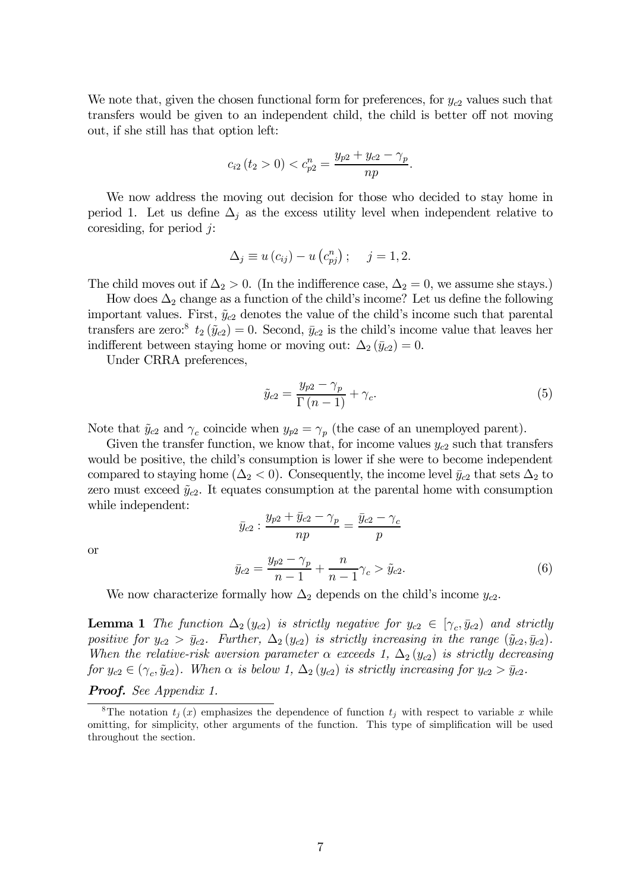We note that, given the chosen functional form for preferences, for  $y_{c2}$  values such that transfers would be given to an independent child, the child is better off not moving out, if she still has that option left:

$$
c_{i2} (t_2 > 0) < c_{p2}^n = \frac{y_{p2} + y_{c2} - \gamma_p}{np}.
$$

We now address the moving out decision for those who decided to stay home in period 1. Let us define  $\Delta_j$  as the excess utility level when independent relative to coresiding, for period  $i$ :

$$
\Delta_j \equiv u(c_{ij}) - u(c_{pj}^n); \quad j = 1, 2.
$$

The child moves out if  $\Delta_2 > 0$ . (In the indifference case,  $\Delta_2 = 0$ , we assume she stays.)

How does  $\Delta_2$  change as a function of the child's income? Let us define the following important values. First,  $\tilde{y}_{c2}$  denotes the value of the child's income such that parental transfers are zero:<sup>8</sup>  $t_2(\tilde{y}_{c2})=0$ . Second,  $\bar{y}_{c2}$  is the child's income value that leaves her indifferent between staying home or moving out:  $\Delta_2(\bar{y}_{c2})=0$ .

Under CRRA preferences,

$$
\tilde{y}_{c2} = \frac{y_{p2} - \gamma_p}{\Gamma(n-1)} + \gamma_c.
$$
\n(5)

Note that  $\tilde{y}_{c2}$  and  $\gamma_c$  coincide when  $y_{p2} = \gamma_p$  (the case of an unemployed parent).

Given the transfer function, we know that, for income values  $y_{c2}$  such that transfers would be positive, the child's consumption is lower if she were to become independent compared to staying home ( $\Delta_2$  < 0). Consequently, the income level  $\bar{y}_{c2}$  that sets  $\Delta_2$  to zero must exceed  $\tilde{y}_{c2}$ . It equates consumption at the parental home with consumption while independent:

$$
\bar{y}_{c2} : \frac{y_{p2} + \bar{y}_{c2} - \gamma_p}{np} = \frac{\bar{y}_{c2} - \gamma_c}{p}
$$
\n
$$
\bar{y}_{c2} = \frac{y_{p2} - \gamma_p}{p} + \frac{n}{\gamma_c} \gg \tilde{y}_{c2}.
$$
\n(6)

or

$$
\bar{y}_{c2} = \frac{y_{p2} - \gamma_p}{n - 1} + \frac{n}{n - 1} \gamma_c > \tilde{y}_{c2}.
$$
\n(6)

We now characterize formally how  $\Delta_2$  depends on the child's income  $y_{c2}$ .

**Lemma 1** The function  $\Delta_2(y_{c2})$  is strictly negative for  $y_{c2} \in [\gamma_c, \bar{y}_{c2})$  and strictly positive for  $y_{c2} > \bar{y}_{c2}$ . Further,  $\Delta_2(y_{c2})$  is strictly increasing in the range  $(\tilde{y}_{c2}, \bar{y}_{c2})$ . When the relative-risk aversion parameter  $\alpha$  exceeds 1,  $\Delta_2(y_{c2})$  is strictly decreasing for  $y_{c2} \in (\gamma_c, \tilde{y}_{c2})$ . When  $\alpha$  is below 1,  $\Delta_2(y_{c2})$  is strictly increasing for  $y_{c2} > \bar{y}_{c2}$ .

Proof. See Appendix 1.

<sup>&</sup>lt;sup>8</sup>The notation  $t_j(x)$  emphasizes the dependence of function  $t_j$  with respect to variable x while omitting, for simplicity, other arguments of the function. This type of simplification will be used throughout the section.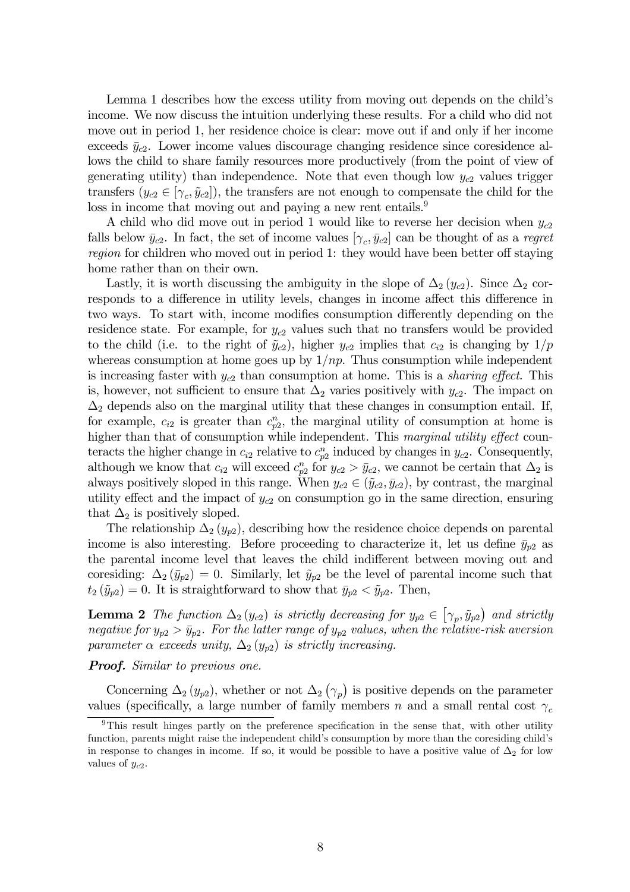Lemma 1 describes how the excess utility from moving out depends on the child's income. We now discuss the intuition underlying these results. For a child who did not move out in period 1, her residence choice is clear: move out if and only if her income exceeds  $\bar{y}_{c2}$ . Lower income values discourage changing residence since coresidence allows the child to share family resources more productively (from the point of view of generating utility) than independence. Note that even though low  $y_{c2}$  values trigger transfers  $(y_{c2} \in [\gamma_c, \tilde{y}_{c2}])$ , the transfers are not enough to compensate the child for the loss in income that moving out and paying a new rent entails.<sup>9</sup>

A child who did move out in period 1 would like to reverse her decision when  $y_{c2}$ falls below  $\bar{y}_{c2}$ . In fact, the set of income values  $[\gamma_c, \bar{y}_{c2}]$  can be thought of as a regret region for children who moved out in period 1: they would have been better off staying home rather than on their own.

Lastly, it is worth discussing the ambiguity in the slope of  $\Delta_2(y_{c2})$ . Since  $\Delta_2$  corresponds to a difference in utility levels, changes in income affect this difference in two ways. To start with, income modifies consumption differently depending on the residence state. For example, for  $y_{c2}$  values such that no transfers would be provided to the child (i.e. to the right of  $\tilde{y}_{c2}$ ), higher  $y_{c2}$  implies that  $c_{i2}$  is changing by  $1/p$ whereas consumption at home goes up by  $1/np$ . Thus consumption while independent is increasing faster with  $y_{c2}$  than consumption at home. This is a *sharing effect*. This is, however, not sufficient to ensure that  $\Delta_2$  varies positively with  $y_{c2}$ . The impact on  $\Delta_2$  depends also on the marginal utility that these changes in consumption entail. If, for example,  $c_{i2}$  is greater than  $c_{p2}^n$ , the marginal utility of consumption at home is higher than that of consumption while independent. This marginal utility effect counteracts the higher change in  $c_{i2}$  relative to  $c_{p2}^n$  induced by changes in  $y_{c2}$ . Consequently, although we know that  $c_{i2}$  will exceed  $c_{p2}^n$  for  $y_{c2} > \bar{y}_{c2}$ , we cannot be certain that  $\Delta_2$  is always positively sloped in this range. When  $y_{c2} \in (\tilde{y}_{c2}, \bar{y}_{c2})$ , by contrast, the marginal utility effect and the impact of  $y_{c2}$  on consumption go in the same direction, ensuring that  $\Delta_2$  is positively sloped.

The relationship  $\Delta_2(y_{p2})$ , describing how the residence choice depends on parental income is also interesting. Before proceeding to characterize it, let us define  $\bar{y}_{p2}$  as the parental income level that leaves the child indifferent between moving out and coresiding:  $\Delta_2(\bar{y}_{p2})=0$ . Similarly, let  $\tilde{y}_{p2}$  be the level of parental income such that  $t_2(\tilde{y}_{p2})=0$ . It is straightforward to show that  $\bar{y}_{p2} < \tilde{y}_{p2}$ . Then,

**Lemma 2** The function  $\Delta_2(y_{c2})$  is strictly decreasing for  $y_{p2} \in [\gamma_p, \tilde{y}_{p2})$  and strictly negative for  $y_{p2} > \bar{y}_{p2}$ . For the latter range of  $y_{p2}$  values, when the relative-risk aversion parameter  $\alpha$  exceeds unity,  $\Delta_2(y_{p2})$  is strictly increasing.

### **Proof.** Similar to previous one.

Concerning  $\Delta_2(y_{p2})$ , whether or not  $\Delta_2(y_p)$  is positive depends on the parameter values (specifically, a large number of family members n and a small rental cost  $\gamma_c$ 

<sup>&</sup>lt;sup>9</sup>This result hinges partly on the preference specification in the sense that, with other utility function, parents might raise the independent child's consumption by more than the coresiding child's in response to changes in income. If so, it would be possible to have a positive value of  $\Delta_2$  for low values of  $y_{c2}$ .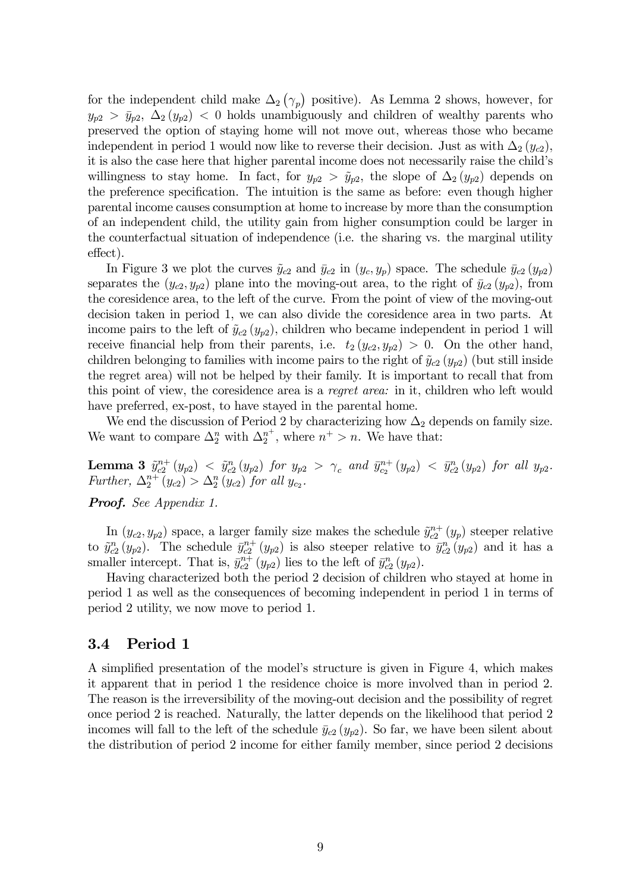for the independent child make  $\Delta_2(\gamma_p)$  positive). As Lemma 2 shows, however, for  $y_{p2} > \bar{y}_{p2}, \ \Delta_2(y_{p2}) < 0$  holds unambiguously and children of wealthy parents who preserved the option of staying home will not move out, whereas those who became independent in period 1 would now like to reverse their decision. Just as with  $\Delta_2(y_{c2})$ , it is also the case here that higher parental income does not necessarily raise the child's willingness to stay home. In fact, for  $y_{p2} > \tilde{y}_{p2}$ , the slope of  $\Delta_2(y_{p2})$  depends on the preference specification. The intuition is the same as before: even though higher parental income causes consumption at home to increase by more than the consumption of an independent child, the utility gain from higher consumption could be larger in the counterfactual situation of independence (i.e. the sharing vs. the marginal utility effect).

In Figure 3 we plot the curves  $\tilde{y}_{c2}$  and  $\bar{y}_{c2}$  in  $(y_c, y_p)$  space. The schedule  $\bar{y}_{c2} (y_{p2})$ separates the  $(y_{c2}, y_{p2})$  plane into the moving-out area, to the right of  $\bar{y}_{c2}$   $(y_{p2})$ , from the coresidence area, to the left of the curve. From the point of view of the moving-out decision taken in period 1, we can also divide the coresidence area in two parts. At income pairs to the left of  $\tilde{y}_{c2}(y_{p2})$ , children who became independent in period 1 will receive financial help from their parents, i.e.  $t_2(y_{c2}, y_{p2}) > 0$ . On the other hand, children belonging to families with income pairs to the right of  $\tilde{y}_{c2} (y_{p2})$  (but still inside the regret area) will not be helped by their family. It is important to recall that from this point of view, the coresidence area is a regret area: in it, children who left would have preferred, ex-post, to have stayed in the parental home.

We end the discussion of Period 2 by characterizing how  $\Delta_2$  depends on family size. We want to compare  $\Delta_2^n$  with  $\Delta_2^{n^+}$ , where  $n^+ > n$ . We have that:

**Lemma 3**  $\tilde{y}_{c2}^{n+}(y_{p2}) < \tilde{y}_{c2}^n(y_{p2})$  for  $y_{p2} > \gamma_c$  and  $\bar{y}_{c2}^{n+}(y_{p2}) < \bar{y}_{c2}^n(y_{p2})$  for all  $y_{p2}$ . *Further*,  $\Delta_2^{n+}(y_{c2}) > \Delta_2^{n}(y_{c2})$  *for all*  $y_{c2}$ *.* 

Proof. See Appendix 1.

In  $(y_{c2}, y_{p2})$  space, a larger family size makes the schedule  $\tilde{y}_{c2}^{n+} (y_p)$  steeper relative to  $\tilde{y}_{c2}^n(y_{p2})$ . The schedule  $\bar{y}_{c2}^{n+}(y_{p2})$  is also steeper relative to  $\bar{y}_{c2}^n(y_{p2})$  and it has a smaller intercept. That is,  $\bar{y}_{c2}^{n+}(y_{p2})$  lies to the left of  $\bar{y}_{c2}^n(y_{p2})$ .

Having characterized both the period 2 decision of children who stayed at home in period 1 as well as the consequences of becoming independent in period 1 in terms of period 2 utility, we now move to period 1.

## 3.4 Period 1

A simplified presentation of the model's structure is given in Figure 4, which makes it apparent that in period 1 the residence choice is more involved than in period 2. The reason is the irreversibility of the moving-out decision and the possibility of regret once period 2 is reached. Naturally, the latter depends on the likelihood that period 2 incomes will fall to the left of the schedule  $\bar{y}_{c2}(y_{p2})$ . So far, we have been silent about the distribution of period 2 income for either family member, since period 2 decisions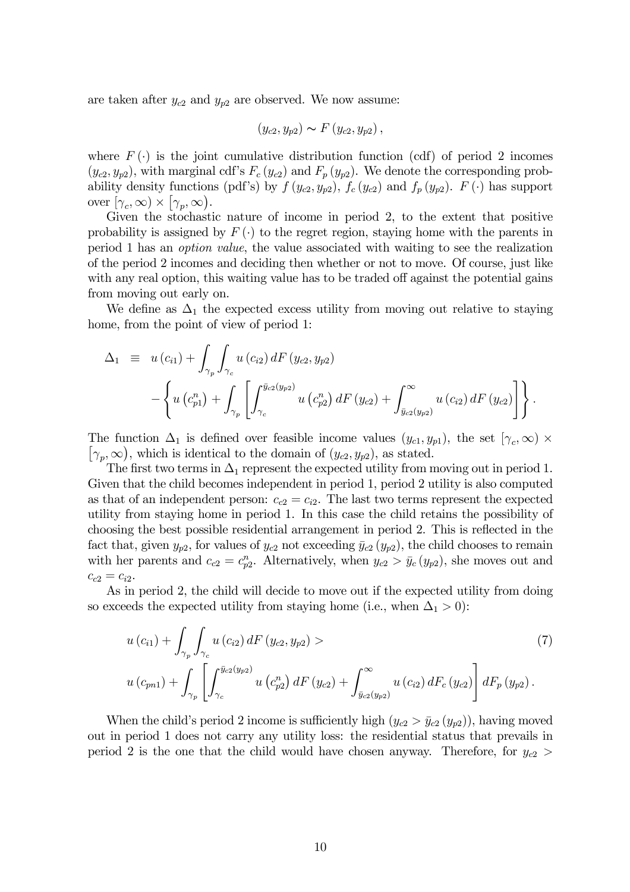are taken after  $y_{c2}$  and  $y_{p2}$  are observed. We now assume:

$$
(y_{c2}, y_{p2}) \sim F(y_{c2}, y_{p2}),
$$

where  $F(\cdot)$  is the joint cumulative distribution function (cdf) of period 2 incomes  $(y_{c2}, y_{p2})$ , with marginal cdf's  $F_c(y_{c2})$  and  $F_p(y_{p2})$ . We denote the corresponding probability density functions (pdf's) by  $f(y_{c2}, y_{p2})$ ,  $f_c(y_{c2})$  and  $f_p(y_{p2})$ .  $F(\cdot)$  has support over  $[\gamma_c, \infty) \times [\gamma_p, \infty)$ .

Given the stochastic nature of income in period 2, to the extent that positive probability is assigned by  $F(\cdot)$  to the regret region, staying home with the parents in period 1 has an option value, the value associated with waiting to see the realization of the period 2 incomes and deciding then whether or not to move. Of course, just like with any real option, this waiting value has to be traded off against the potential gains from moving out early on.

We define as  $\Delta_1$  the expected excess utility from moving out relative to staying home, from the point of view of period 1:

$$
\Delta_1 \equiv u (c_{i1}) + \int_{\gamma_p} \int_{\gamma_c} u (c_{i2}) dF (y_{c2}, y_{p2})
$$
  
 
$$
- \left\{ u (c_{p1}^n) + \int_{\gamma_p} \left[ \int_{\gamma_c}^{\bar{y}_{c2}(y_{p2})} u (c_{p2}^n) dF (y_{c2}) + \int_{\bar{y}_{c2}(y_{p2})}^{\infty} u (c_{i2}) dF (y_{c2}) \right] \right\}.
$$

The function  $\Delta_1$  is defined over feasible income values  $(y_{c1}, y_{p1})$ , the set  $[\gamma_c, \infty) \times$  $[\gamma_p, \infty)$ , which is identical to the domain of  $(y_{c2}, y_{p2})$ , as stated.

The first two terms in  $\Delta_1$  represent the expected utility from moving out in period 1. Given that the child becomes independent in period 1, period 2 utility is also computed as that of an independent person:  $c_{c2} = c_{i2}$ . The last two terms represent the expected utility from staying home in period 1. In this case the child retains the possibility of choosing the best possible residential arrangement in period 2. This is reflected in the fact that, given  $y_{p2}$ , for values of  $y_{c2}$  not exceeding  $\bar{y}_{c2}$  ( $y_{p2}$ ), the child chooses to remain with her parents and  $c_{c2} = c_{p2}^n$ . Alternatively, when  $y_{c2} > \bar{y}_c (y_{p2})$ , she moves out and  $c_{c2} = c_{i2}$ .

As in period 2, the child will decide to move out if the expected utility from doing so exceeds the expected utility from staying home (i.e., when  $\Delta_1 > 0$ ):

$$
u(c_{i1}) + \int_{\gamma_p} \int_{\gamma_c} u(c_{i2}) dF(y_{c2}, y_{p2}) >
$$
\n
$$
u(c_{pn1}) + \int_{\gamma_p} \left[ \int_{\gamma_c}^{\bar{y}_{c2}(y_{p2})} u(c_{p2}) dF(y_{c2}) + \int_{\bar{y}_{c2}(y_{p2})}^{\infty} u(c_{i2}) dF_c(y_{c2}) \right] dF_p(y_{p2}).
$$
\n(7)

When the child's period 2 income is sufficiently high  $(y_{c2} > \bar{y}_{c2} (y_{p2}))$ , having moved out in period 1 does not carry any utility loss: the residential status that prevails in period 2 is the one that the child would have chosen anyway. Therefore, for  $y_{c2}$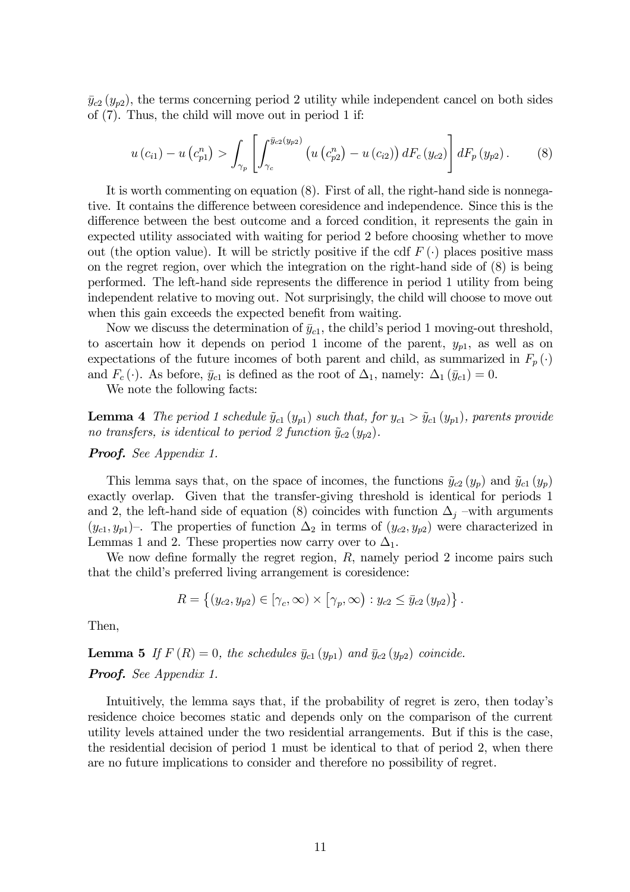$\bar{y}_{c2}$  ( $y_{p2}$ ), the terms concerning period 2 utility while independent cancel on both sides of (7). Thus, the child will move out in period 1 if:

$$
u(c_{i1}) - u(c_{p1}^{n}) > \int_{\gamma_{p}} \left[ \int_{\gamma_{c}}^{\bar{y}_{c2}(y_{p2})} \left( u(c_{p2}^{n}) - u(c_{i2}) \right) dF_{c}(y_{c2}) \right] dF_{p}(y_{p2}). \tag{8}
$$

It is worth commenting on equation (8). First of all, the right-hand side is nonnegative. It contains the difference between coresidence and independence. Since this is the difference between the best outcome and a forced condition, it represents the gain in expected utility associated with waiting for period 2 before choosing whether to move out (the option value). It will be strictly positive if the cdf  $F(\cdot)$  places positive mass on the regret region, over which the integration on the right-hand side of (8) is being performed. The left-hand side represents the difference in period 1 utility from being independent relative to moving out. Not surprisingly, the child will choose to move out when this gain exceeds the expected benefit from waiting.

Now we discuss the determination of  $\bar{y}_{c1}$ , the child's period 1 moving-out threshold, to ascertain how it depends on period 1 income of the parent,  $y_{p1}$ , as well as on expectations of the future incomes of both parent and child, as summarized in  $F_p(\cdot)$ and  $F_c(\cdot)$ . As before,  $\bar{y}_{c1}$  is defined as the root of  $\Delta_1$ , namely:  $\Delta_1(\bar{y}_{c1})=0$ .

We note the following facts:

**Lemma 4** The period 1 schedule  $\tilde{y}_{c1} (y_{p1})$  such that, for  $y_{c1} > \tilde{y}_{c1} (y_{p1})$ , parents provide no transfers, is identical to period 2 function  $\tilde{y}_{c2}(y_{p2})$ .

**Proof.** See Appendix 1.

This lemma says that, on the space of incomes, the functions  $\tilde{y}_{c2}(y_p)$  and  $\tilde{y}_{c1}(y_p)$ exactly overlap. Given that the transfer-giving threshold is identical for periods 1 and 2, the left-hand side of equation (8) coincides with function  $\Delta_j$  –with arguments  $(y_{c1}, y_{p1})$ –. The properties of function  $\Delta_2$  in terms of  $(y_{c2}, y_{p2})$  were characterized in Lemmas 1 and 2. These properties now carry over to  $\Delta_1$ .

We now define formally the regret region, R, namely period 2 income pairs such that the child's preferred living arrangement is coresidence:

$$
R = \left\{ (y_{c2}, y_{p2}) \in [\gamma_c, \infty) \times [\gamma_p, \infty) : y_{c2} \le \bar{y}_{c2} (y_{p2}) \right\}.
$$

Then,

**Lemma 5** If  $F(R)=0$ , the schedules  $\bar{y}_{c1}(y_{p1})$  and  $\bar{y}_{c2}(y_{p2})$  coincide. Proof. See Appendix 1.

Intuitively, the lemma says that, if the probability of regret is zero, then today's residence choice becomes static and depends only on the comparison of the current utility levels attained under the two residential arrangements. But if this is the case, the residential decision of period 1 must be identical to that of period 2, when there are no future implications to consider and therefore no possibility of regret.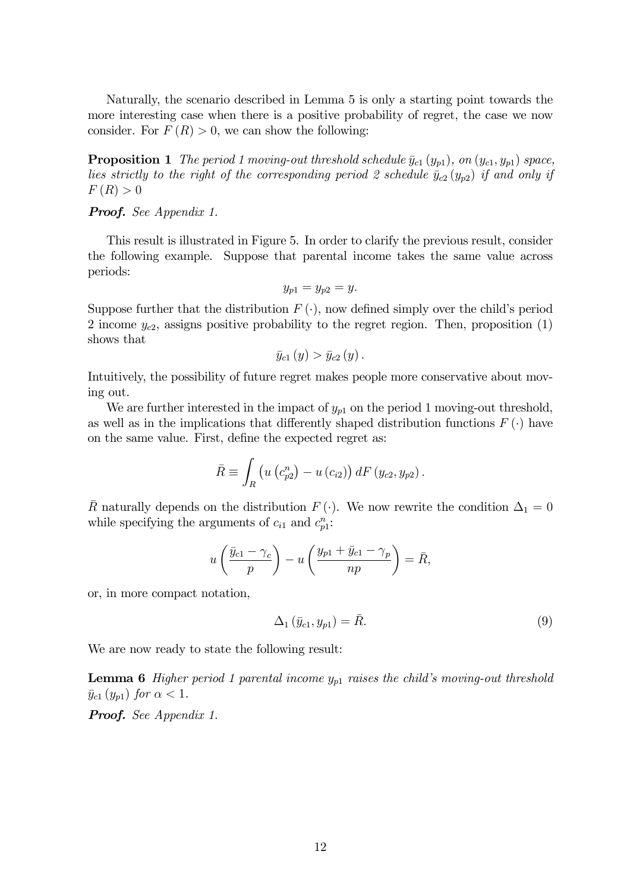Naturally, the scenario described in Lemma 5 is only a starting point towards the more interesting case when there is a positive probability of regret, the case we now consider. For  $F(R) > 0$ , we can show the following:

**Proposition 1** The period 1 moving-out threshold schedule  $\bar{y}_{c1} (y_{p1})$ , on  $(y_{c1}, y_{p1})$  space, lies strictly to the right of the corresponding period 2 schedule  $\bar{y}_{c2} (y_{p2})$  if and only if  $F(R) > 0$ 

**Proof.** See Appendix 1.

This result is illustrated in Figure 5. In order to clarify the previous result, consider the following example. Suppose that parental income takes the same value across periods:

$$
y_{p1}=y_{p2}=y.
$$

Suppose further that the distribution  $F(\cdot)$ , now defined simply over the child's period 2 income  $y_{c2}$ , assigns positive probability to the regret region. Then, proposition  $(1)$ shows that

$$
\bar{y}_{c1}\left(y\right) > \bar{y}_{c2}\left(y\right).
$$

Intuitively, the possibility of future regret makes people more conservative about moving out.

We are further interested in the impact of  $y_{p1}$  on the period 1 moving-out threshold, as well as in the implications that differently shaped distribution functions  $F(\cdot)$  have on the same value. First, define the expected regret as:

$$
\bar{R} \equiv \int_{R} \left( u \left( c_{p2}^{n} \right) - u \left( c_{i2} \right) \right) dF \left( y_{c2}, y_{p2} \right).
$$

 $\overline{R}$  naturally depends on the distribution  $F(\cdot)$ . We now rewrite the condition  $\Delta_1 = 0$ while specifying the arguments of  $c_{i1}$  and  $c_{p1}^n$ :

$$
u\left(\frac{\bar{y}_{c1}-\gamma_c}{p}\right)-u\left(\frac{y_{p1}+\bar{y}_{c1}-\gamma_p}{np}\right)=\bar{R},\,
$$

or, in more compact notation,

$$
\Delta_1\left(\bar{y}_{c1}, y_{p1}\right) = \bar{R}.\tag{9}
$$

We are now ready to state the following result:

**Lemma 6** Higher period 1 parental income  $y_{p1}$  raises the child's moving-out threshold  $\bar{y}_{c1} (y_{p1})$  for  $\alpha < 1$ .

Proof. See Appendix 1.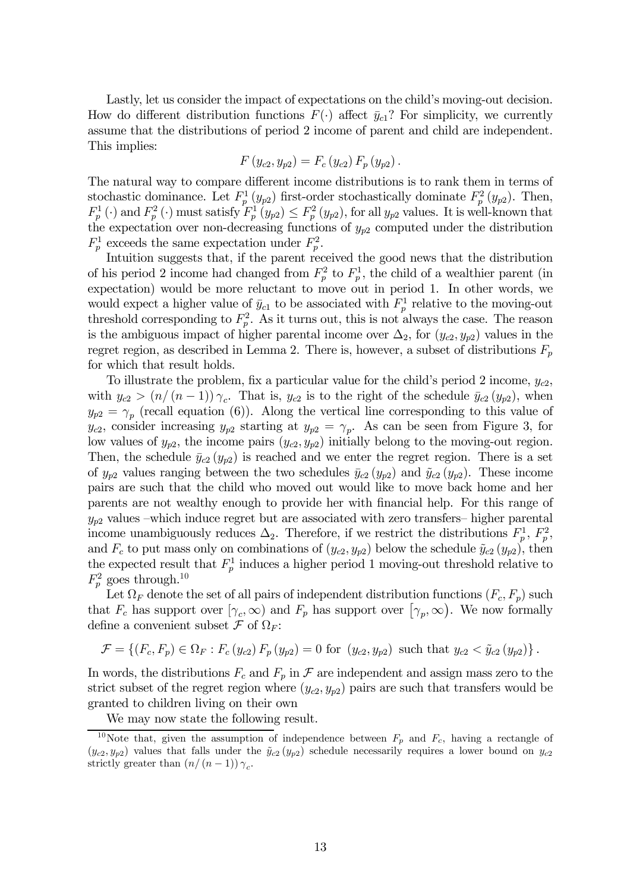Lastly, let us consider the impact of expectations on the child's moving-out decision. How do different distribution functions  $F(\cdot)$  affect  $\bar{y}_{c1}$ ? For simplicity, we currently assume that the distributions of period 2 income of parent and child are independent. This implies:

$$
F(y_{c2}, y_{p2}) = F_c(y_{c2}) F_p(y_{p2}).
$$

The natural way to compare different income distributions is to rank them in terms of stochastic dominance. Let  $F_p^1(y_{p2})$  first-order stochastically dominate  $F_p^2(y_{p2})$ . Then,  $F_p^1(\cdot)$  and  $F_p^2(\cdot)$  must satisfy  $F_p^1(y_{p2}) \leq F_p^2(y_{p2})$ , for all  $y_{p2}$  values. It is well-known that the expectation over non-decreasing functions of  $y_{p2}$  computed under the distribution  $F_p^1$  exceeds the same expectation under  $F_p^2$ .

Intuition suggests that, if the parent received the good news that the distribution of his period 2 income had changed from  $F_p^2$  to  $F_p^1$ , the child of a wealthier parent (in expectation) would be more reluctant to move out in period 1. In other words, we would expect a higher value of  $\bar{y}_{c1}$  to be associated with  $F_p^1$  relative to the moving-out threshold corresponding to  $F_p^2$ . As it turns out, this is not always the case. The reason is the ambiguous impact of higher parental income over  $\Delta_2$ , for  $(y_{c2}, y_{p2})$  values in the regret region, as described in Lemma 2. There is, however, a subset of distributions  $F_p$ for which that result holds.

To illustrate the problem, fix a particular value for the child's period 2 income,  $y_{c2}$ , with  $y_{c2} > (n/(n-1)) \gamma_c$ . That is,  $y_{c2}$  is to the right of the schedule  $\bar{y}_{c2} (y_{p2})$ , when  $y_{p2} = \gamma_p$  (recall equation (6)). Along the vertical line corresponding to this value of  $y_{c2}$ , consider increasing  $y_{p2}$  starting at  $y_{p2} = \gamma_p$ . As can be seen from Figure 3, for low values of  $y_{p2}$ , the income pairs  $(y_{c2}, y_{p2})$  initially belong to the moving-out region. Then, the schedule  $\bar{y}_{c2} (y_{p2})$  is reached and we enter the regret region. There is a set of  $y_{p2}$  values ranging between the two schedules  $\bar{y}_{c2} (y_{p2})$  and  $\tilde{y}_{c2} (y_{p2})$ . These income pairs are such that the child who moved out would like to move back home and her parents are not wealthy enough to provide her with financial help. For this range of  $y_{p2}$  values –which induce regret but are associated with zero transfers– higher parental income unambiguously reduces  $\Delta_2$ . Therefore, if we restrict the distributions  $F_p^1$ ,  $F_p^2$ , and  $F_c$  to put mass only on combinations of  $(y_{c2}, y_{p2})$  below the schedule  $\tilde{y}_{c2}$   $(y_{p2})$ , then the expected result that  $F_p^1$  induces a higher period 1 moving-out threshold relative to  $F_p^2$  goes through.<sup>10</sup>

Let  $\Omega_F$  denote the set of all pairs of independent distribution functions  $(F_c, F_p)$  such that  $F_c$  has support over  $[\gamma_c, \infty)$  and  $F_p$  has support over  $[\gamma_p, \infty)$ . We now formally define a convenient subset  $\mathcal F$  of  $\Omega_F$ :

$$
\mathcal{F} = \left\{ (F_c, F_p) \in \Omega_F : F_c(y_{c2}) F_p(y_{p2}) = 0 \text{ for } (y_{c2}, y_{p2}) \text{ such that } y_{c2} < \tilde{y}_{c2} (y_{p2}) \right\}.
$$

In words, the distributions  $F_c$  and  $F_p$  in  $\mathcal F$  are independent and assign mass zero to the strict subset of the regret region where  $(y_{c2}, y_{p2})$  pairs are such that transfers would be granted to children living on their own

We may now state the following result.

<sup>&</sup>lt;sup>10</sup>Note that, given the assumption of independence between  $F_p$  and  $F_c$ , having a rectangle of  $(y_{c2}, y_{p2})$  values that falls under the  $\tilde{y}_{c2} (y_{p2})$  schedule necessarily requires a lower bound on  $y_{c2}$ strictly greater than  $(n/(n-1)) \gamma_c$ .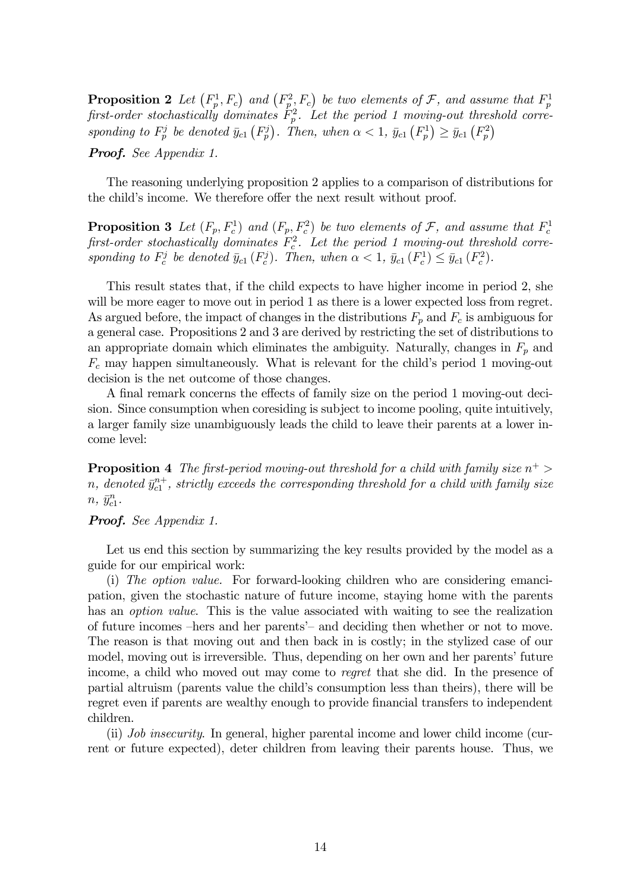**Proposition 2** Let  $(F_p^1, F_c)$  and  $(F_p^2, F_c)$  be two elements of  $\mathcal F$ , and assume that  $F_p^1$  first-order stochastically dominates  $F_p^2$ . Let the period 1 moving-out threshold corresponding to  $F_p^j$  be denoted  $\bar{y}_{c1}$   $(F_p^j)$ . Then, when  $\alpha < 1$ ,  $\bar{y}_{c1}$   $(F_p^1) \ge \bar{y}_{c1}$   $(F_p^2)$ 

Proof. See Appendix 1.

The reasoning underlying proposition 2 applies to a comparison of distributions for the child's income. We therefore offer the next result without proof.

**Proposition 3** Let  $(F_p, F_c^1)$  and  $(F_p, F_c^2)$  be two elements of  $\mathcal{F}$ , and assume that  $F_c^1$  first-order stochastically dominates  $F_c^2$ . Let the period 1 moving-out threshold corresponding to  $F_c^j$  be denoted  $\bar{y}_{c1}(F_c^j)$ . Then, when  $\alpha < 1$ ,  $\bar{y}_{c1}(F_c^1) \leq \bar{y}_{c1}(F_c^2)$ .

This result states that, if the child expects to have higher income in period 2, she will be more eager to move out in period 1 as there is a lower expected loss from regret. As argued before, the impact of changes in the distributions  $F_p$  and  $F_c$  is ambiguous for a general case. Propositions 2 and 3 are derived by restricting the set of distributions to an appropriate domain which eliminates the ambiguity. Naturally, changes in  $F_p$  and  $F_c$  may happen simultaneously. What is relevant for the child's period 1 moving-out decision is the net outcome of those changes.

A final remark concerns the effects of family size on the period 1 moving-out decision. Since consumption when coresiding is subject to income pooling, quite intuitively, a larger family size unambiguously leads the child to leave their parents at a lower income level:

**Proposition 4** The first-period moving-out threshold for a child with family size  $n^+$  $n, \ denoted \bar{y}_{c1}^{n+}, \, strictly \, exceeds \, the \, corresponding \, threshold \, for \, a \, child \, with \, family \, size$  $n, \bar{y}_{c1}^n$ .

### Proof. See Appendix 1.

Let us end this section by summarizing the key results provided by the model as a guide for our empirical work:

(i) The option value. For forward-looking children who are considering emancipation, given the stochastic nature of future income, staying home with the parents has an *option value*. This is the value associated with waiting to see the realization of future incomes —hers and her parents'— and deciding then whether or not to move. The reason is that moving out and then back in is costly; in the stylized case of our model, moving out is irreversible. Thus, depending on her own and her parents' future income, a child who moved out may come to regret that she did. In the presence of partial altruism (parents value the child's consumption less than theirs), there will be regret even if parents are wealthy enough to provide financial transfers to independent children.

(ii) Job insecurity. In general, higher parental income and lower child income (current or future expected), deter children from leaving their parents house. Thus, we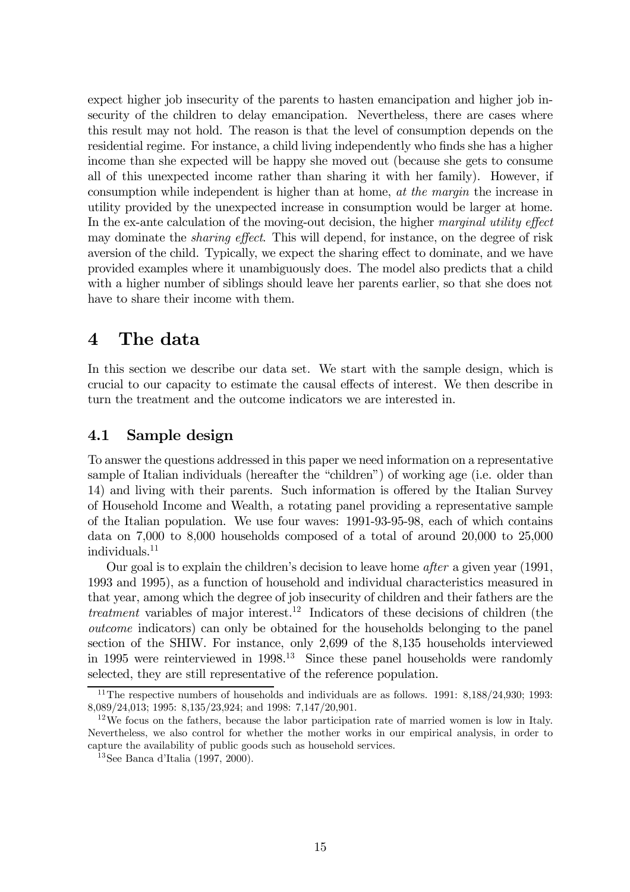expect higher job insecurity of the parents to hasten emancipation and higher job insecurity of the children to delay emancipation. Nevertheless, there are cases where this result may not hold. The reason is that the level of consumption depends on the residential regime. For instance, a child living independently who finds she has a higher income than she expected will be happy she moved out (because she gets to consume all of this unexpected income rather than sharing it with her family). However, if consumption while independent is higher than at home, at the margin the increase in utility provided by the unexpected increase in consumption would be larger at home. In the ex-ante calculation of the moving-out decision, the higher marginal utility effect may dominate the *sharing effect*. This will depend, for instance, on the degree of risk aversion of the child. Typically, we expect the sharing effect to dominate, and we have provided examples where it unambiguously does. The model also predicts that a child with a higher number of siblings should leave her parents earlier, so that she does not have to share their income with them.

# 4 The data

In this section we describe our data set. We start with the sample design, which is crucial to our capacity to estimate the causal effects of interest. We then describe in turn the treatment and the outcome indicators we are interested in.

## 4.1 Sample design

To answer the questions addressed in this paper we need information on a representative sample of Italian individuals (hereafter the "children") of working age (i.e. older than 14) and living with their parents. Such information is offered by the Italian Survey of Household Income and Wealth, a rotating panel providing a representative sample of the Italian population. We use four waves: 1991-93-95-98, each of which contains data on 7,000 to 8,000 households composed of a total of around 20,000 to 25,000 individuals.11

Our goal is to explain the children's decision to leave home after a given year (1991, 1993 and 1995), as a function of household and individual characteristics measured in that year, among which the degree of job insecurity of children and their fathers are the treatment variables of major interest.<sup>12</sup> Indicators of these decisions of children (the outcome indicators) can only be obtained for the households belonging to the panel section of the SHIW. For instance, only 2,699 of the 8,135 households interviewed in 1995 were reinterviewed in  $1998<sup>13</sup>$  Since these panel households were randomly selected, they are still representative of the reference population.

<sup>&</sup>lt;sup>11</sup>The respective numbers of households and individuals are as follows.  $1991: 8,188/24,930: 1993:$ 8,089/24,013; 1995: 8,135/23,924; and 1998: 7,147/20,901.

 $12\,\text{We focus on the fathers, because the labor participation rate of married women is low in Italy.}$ Nevertheless, we also control for whether the mother works in our empirical analysis, in order to capture the availability of public goods such as household services.

<sup>13</sup>See Banca d'Italia (1997, 2000).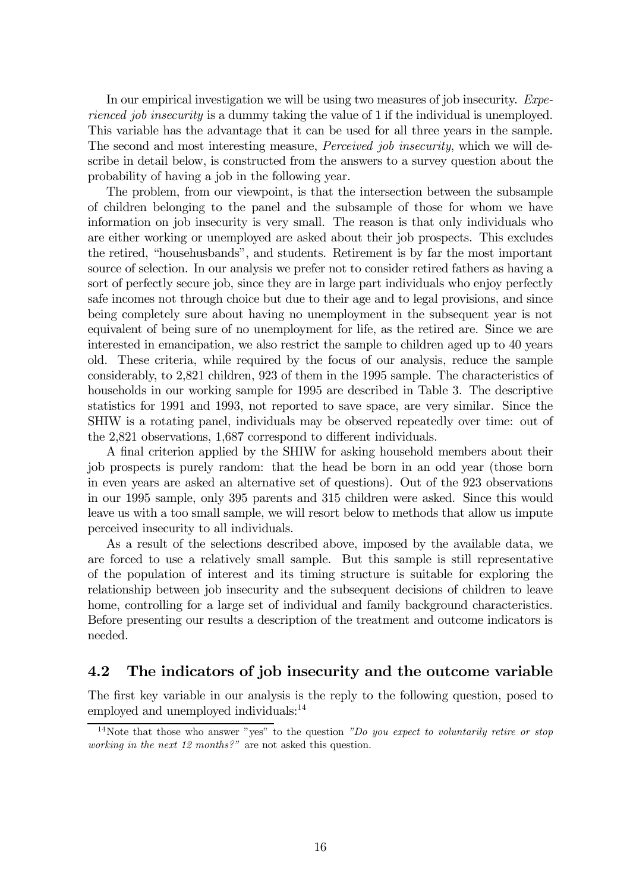In our empirical investigation we will be using two measures of job insecurity. Experienced job insecurity is a dummy taking the value of 1 if the individual is unemployed. This variable has the advantage that it can be used for all three years in the sample. The second and most interesting measure, *Perceived job insecurity*, which we will describe in detail below, is constructed from the answers to a survey question about the probability of having a job in the following year.

The problem, from our viewpoint, is that the intersection between the subsample of children belonging to the panel and the subsample of those for whom we have information on job insecurity is very small. The reason is that only individuals who are either working or unemployed are asked about their job prospects. This excludes the retired, "househusbands", and students. Retirement is by far the most important source of selection. In our analysis we prefer not to consider retired fathers as having a sort of perfectly secure job, since they are in large part individuals who enjoy perfectly safe incomes not through choice but due to their age and to legal provisions, and since being completely sure about having no unemployment in the subsequent year is not equivalent of being sure of no unemployment for life, as the retired are. Since we are interested in emancipation, we also restrict the sample to children aged up to 40 years old. These criteria, while required by the focus of our analysis, reduce the sample considerably, to 2,821 children, 923 of them in the 1995 sample. The characteristics of households in our working sample for 1995 are described in Table 3. The descriptive statistics for 1991 and 1993, not reported to save space, are very similar. Since the SHIW is a rotating panel, individuals may be observed repeatedly over time: out of the 2,821 observations, 1,687 correspond to different individuals.

A final criterion applied by the SHIW for asking household members about their job prospects is purely random: that the head be born in an odd year (those born in even years are asked an alternative set of questions). Out of the 923 observations in our 1995 sample, only 395 parents and 315 children were asked. Since this would leave us with a too small sample, we will resort below to methods that allow us impute perceived insecurity to all individuals.

As a result of the selections described above, imposed by the available data, we are forced to use a relatively small sample. But this sample is still representative of the population of interest and its timing structure is suitable for exploring the relationship between job insecurity and the subsequent decisions of children to leave home, controlling for a large set of individual and family background characteristics. Before presenting our results a description of the treatment and outcome indicators is needed.

## 4.2 The indicators of job insecurity and the outcome variable

The first key variable in our analysis is the reply to the following question, posed to employed and unemployed individuals:<sup>14</sup>

<sup>&</sup>lt;sup>14</sup>Note that those who answer "yes" to the question "Do you expect to voluntarily retire or stop working in the next 12 months?" are not asked this question.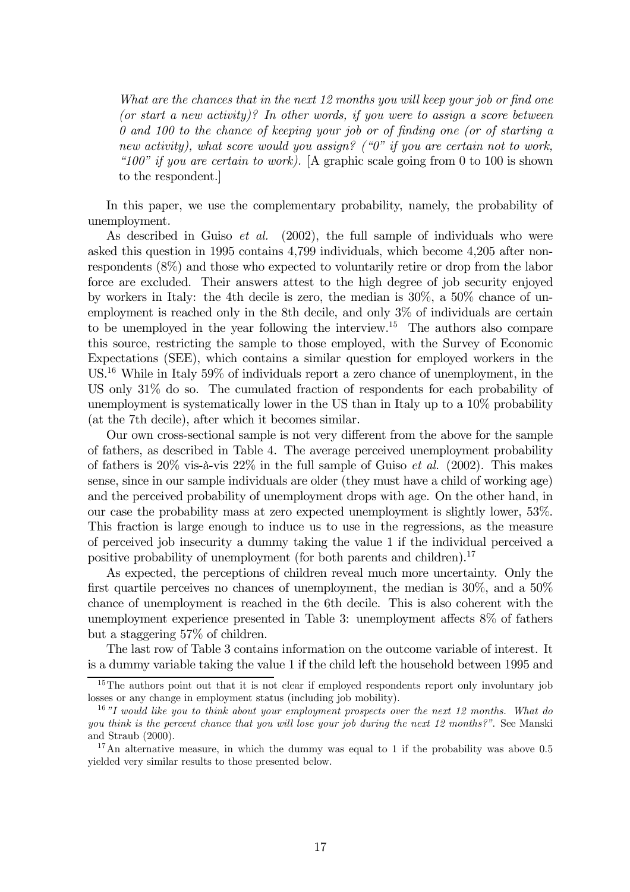What are the chances that in the next 12 months you will keep your job or find one (or start a new activity)? In other words, if you were to assign a score between 0 and 100 to the chance of keeping your job or of finding one (or of starting a new activity), what score would you assign? (" $0$ " if you are certain not to work, "100" if you are certain to work). [A graphic scale going from 0 to 100 is shown to the respondent.]

In this paper, we use the complementary probability, namely, the probability of unemployment.

As described in Guiso *et al.* (2002), the full sample of individuals who were asked this question in 1995 contains 4,799 individuals, which become 4,205 after nonrespondents (8%) and those who expected to voluntarily retire or drop from the labor force are excluded. Their answers attest to the high degree of job security enjoyed by workers in Italy: the 4th decile is zero, the median is 30%, a 50% chance of unemployment is reached only in the 8th decile, and only 3% of individuals are certain to be unemployed in the year following the interview.15 The authors also compare this source, restricting the sample to those employed, with the Survey of Economic Expectations (SEE), which contains a similar question for employed workers in the US.16 While in Italy 59% of individuals report a zero chance of unemployment, in the US only 31% do so. The cumulated fraction of respondents for each probability of unemployment is systematically lower in the US than in Italy up to a 10% probability (at the 7th decile), after which it becomes similar.

Our own cross-sectional sample is not very different from the above for the sample of fathers, as described in Table 4. The average perceived unemployment probability of fathers is  $20\%$  vis-à-vis  $22\%$  in the full sample of Guiso *et al.* (2002). This makes sense, since in our sample individuals are older (they must have a child of working age) and the perceived probability of unemployment drops with age. On the other hand, in our case the probability mass at zero expected unemployment is slightly lower, 53%. This fraction is large enough to induce us to use in the regressions, as the measure of perceived job insecurity a dummy taking the value 1 if the individual perceived a positive probability of unemployment (for both parents and children).<sup>17</sup>

As expected, the perceptions of children reveal much more uncertainty. Only the first quartile perceives no chances of unemployment, the median is 30%, and a 50% chance of unemployment is reached in the 6th decile. This is also coherent with the unemployment experience presented in Table 3: unemployment affects 8% of fathers but a staggering 57% of children.

The last row of Table 3 contains information on the outcome variable of interest. It is a dummy variable taking the value 1 if the child left the household between 1995 and

<sup>&</sup>lt;sup>15</sup>The authors point out that it is not clear if employed respondents report only involuntary job losses or any change in employment status (including job mobility).

 $16"I would like you to think about your employment prospects over the next 12 months. What do$ you think is the percent chance that you will lose your job during the next 12 months?". See Manski and Straub (2000).

<sup>&</sup>lt;sup>17</sup>An alternative measure, in which the dummy was equal to 1 if the probability was above 0.5 yielded very similar results to those presented below.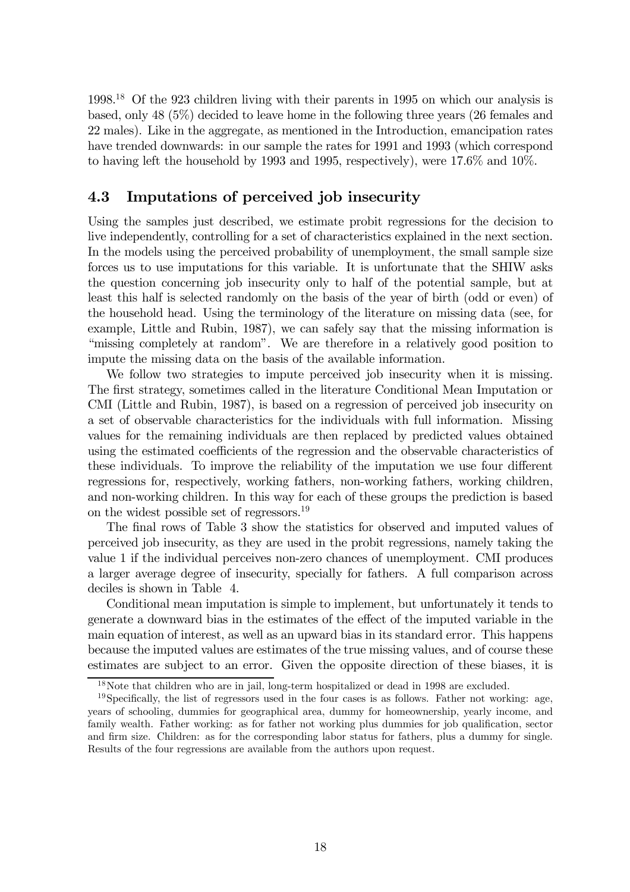1998.18 Of the 923 children living with their parents in 1995 on which our analysis is based, only 48 (5%) decided to leave home in the following three years (26 females and 22 males). Like in the aggregate, as mentioned in the Introduction, emancipation rates have trended downwards: in our sample the rates for 1991 and 1993 (which correspond to having left the household by 1993 and 1995, respectively), were 17.6% and 10%.

## 4.3 Imputations of perceived job insecurity

Using the samples just described, we estimate probit regressions for the decision to live independently, controlling for a set of characteristics explained in the next section. In the models using the perceived probability of unemployment, the small sample size forces us to use imputations for this variable. It is unfortunate that the SHIW asks the question concerning job insecurity only to half of the potential sample, but at least this half is selected randomly on the basis of the year of birth (odd or even) of the household head. Using the terminology of the literature on missing data (see, for example, Little and Rubin, 1987), we can safely say that the missing information is "missing completely at random". We are therefore in a relatively good position to impute the missing data on the basis of the available information.

We follow two strategies to impute perceived job insecurity when it is missing. The first strategy, sometimes called in the literature Conditional Mean Imputation or CMI (Little and Rubin, 1987), is based on a regression of perceived job insecurity on a set of observable characteristics for the individuals with full information. Missing values for the remaining individuals are then replaced by predicted values obtained using the estimated coefficients of the regression and the observable characteristics of these individuals. To improve the reliability of the imputation we use four different regressions for, respectively, working fathers, non-working fathers, working children, and non-working children. In this way for each of these groups the prediction is based on the widest possible set of regressors.19

The final rows of Table 3 show the statistics for observed and imputed values of perceived job insecurity, as they are used in the probit regressions, namely taking the value 1 if the individual perceives non-zero chances of unemployment. CMI produces a larger average degree of insecurity, specially for fathers. A full comparison across deciles is shown in Table 4.

Conditional mean imputation is simple to implement, but unfortunately it tends to generate a downward bias in the estimates of the effect of the imputed variable in the main equation of interest, as well as an upward bias in its standard error. This happens because the imputed values are estimates of the true missing values, and of course these estimates are subject to an error. Given the opposite direction of these biases, it is

<sup>18</sup>Note that children who are in jail, long-term hospitalized or dead in 1998 are excluded.

 $19$ Specifically, the list of regressors used in the four cases is as follows. Father not working: age, years of schooling, dummies for geographical area, dummy for homeownership, yearly income, and family wealth. Father working: as for father not working plus dummies for job qualification, sector and firm size. Children: as for the corresponding labor status for fathers, plus a dummy for single. Results of the four regressions are available from the authors upon request.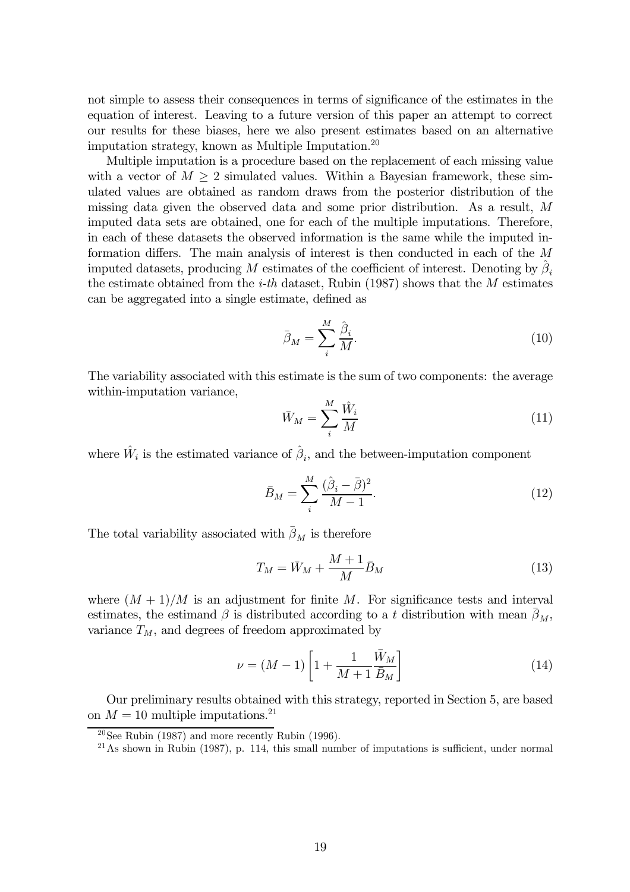not simple to assess their consequences in terms of significance of the estimates in the equation of interest. Leaving to a future version of this paper an attempt to correct our results for these biases, here we also present estimates based on an alternative imputation strategy, known as Multiple Imputation.20

Multiple imputation is a procedure based on the replacement of each missing value with a vector of  $M \geq 2$  simulated values. Within a Bayesian framework, these simulated values are obtained as random draws from the posterior distribution of the missing data given the observed data and some prior distribution. As a result, M imputed data sets are obtained, one for each of the multiple imputations. Therefore, in each of these datasets the observed information is the same while the imputed information differs. The main analysis of interest is then conducted in each of the M imputed datasets, producing M estimates of the coefficient of interest. Denoting by  $\beta_i$ the estimate obtained from the *i-th* dataset, Rubin (1987) shows that the  $M$  estimates can be aggregated into a single estimate, defined as

$$
\bar{\beta}_M = \sum_i^M \frac{\hat{\beta}_i}{M}.\tag{10}
$$

The variability associated with this estimate is the sum of two components: the average within-imputation variance,

$$
\bar{W}_M = \sum_{i}^{M} \frac{\hat{W}_i}{M} \tag{11}
$$

where  $\hat{W}_i$  is the estimated variance of  $\hat{\beta}_i$ , and the between-imputation component

$$
\bar{B}_M = \sum_{i}^{M} \frac{(\hat{\beta}_i - \bar{\beta})^2}{M - 1}.
$$
\n(12)

The total variability associated with  $\bar{\beta}_M$  is therefore

$$
T_M = \bar{W}_M + \frac{M+1}{M}\bar{B}_M \tag{13}
$$

where  $(M + 1)/M$  is an adjustment for finite M. For significance tests and interval estimates, the estimand  $\beta$  is distributed according to a t distribution with mean  $\beta_M$ , variance  $T_M$ , and degrees of freedom approximated by

$$
\nu = (M - 1)\left[1 + \frac{1}{M + 1}\frac{\bar{W}_M}{\bar{B}_M}\right]
$$
\n(14)

Our preliminary results obtained with this strategy, reported in Section 5, are based on  $M = 10$  multiple imputations.<sup>21</sup>

<sup>&</sup>lt;sup>20</sup>See Rubin (1987) and more recently Rubin (1996).

 $21$ As shown in Rubin (1987), p. 114, this small number of imputations is sufficient, under normal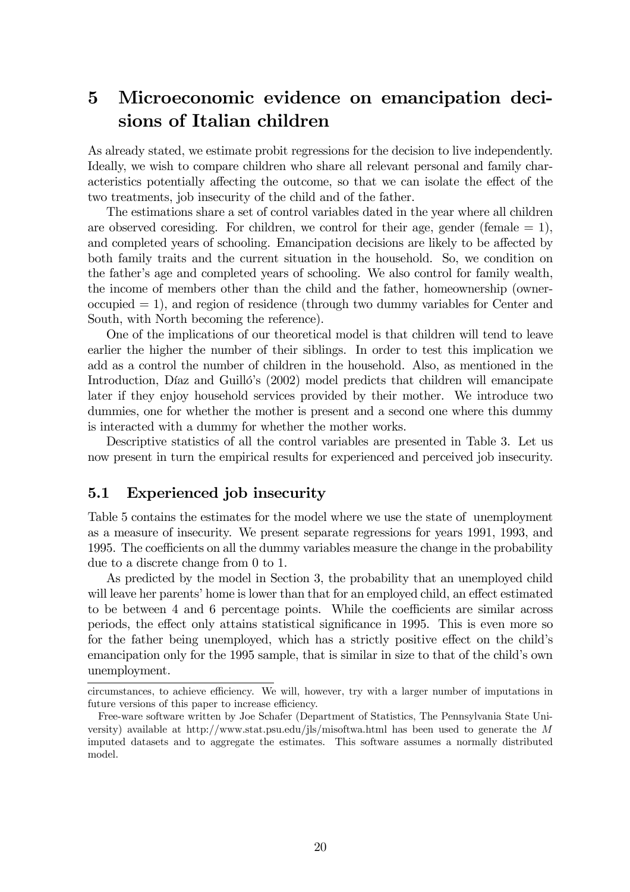# 5 Microeconomic evidence on emancipation decisions of Italian children

As already stated, we estimate probit regressions for the decision to live independently. Ideally, we wish to compare children who share all relevant personal and family characteristics potentially affecting the outcome, so that we can isolate the effect of the two treatments, job insecurity of the child and of the father.

The estimations share a set of control variables dated in the year where all children are observed coresiding. For children, we control for their age, gender (female  $= 1$ ), and completed years of schooling. Emancipation decisions are likely to be affected by both family traits and the current situation in the household. So, we condition on the father's age and completed years of schooling. We also control for family wealth, the income of members other than the child and the father, homeownership (owner $occupied = 1$ , and region of residence (through two dummy variables for Center and South, with North becoming the reference).

One of the implications of our theoretical model is that children will tend to leave earlier the higher the number of their siblings. In order to test this implication we add as a control the number of children in the household. Also, as mentioned in the Introduction, Díaz and Guilló's (2002) model predicts that children will emancipate later if they enjoy household services provided by their mother. We introduce two dummies, one for whether the mother is present and a second one where this dummy is interacted with a dummy for whether the mother works.

Descriptive statistics of all the control variables are presented in Table 3. Let us now present in turn the empirical results for experienced and perceived job insecurity.

## 5.1 Experienced job insecurity

Table 5 contains the estimates for the model where we use the state of unemployment as a measure of insecurity. We present separate regressions for years 1991, 1993, and 1995. The coefficients on all the dummy variables measure the change in the probability due to a discrete change from 0 to 1.

As predicted by the model in Section 3, the probability that an unemployed child will leave her parents' home is lower than that for an employed child, an effect estimated to be between 4 and 6 percentage points. While the coefficients are similar across periods, the effect only attains statistical significance in 1995. This is even more so for the father being unemployed, which has a strictly positive effect on the child's emancipation only for the 1995 sample, that is similar in size to that of the child's own unemployment.

circumstances, to achieve efficiency. We will, however, try with a larger number of imputations in future versions of this paper to increase efficiency.

Free-ware software written by Joe Schafer (Department of Statistics, The Pennsylvania State University) available at http://www.stat.psu.edu/jls/misoftwa.html has been used to generate the M imputed datasets and to aggregate the estimates. This software assumes a normally distributed model.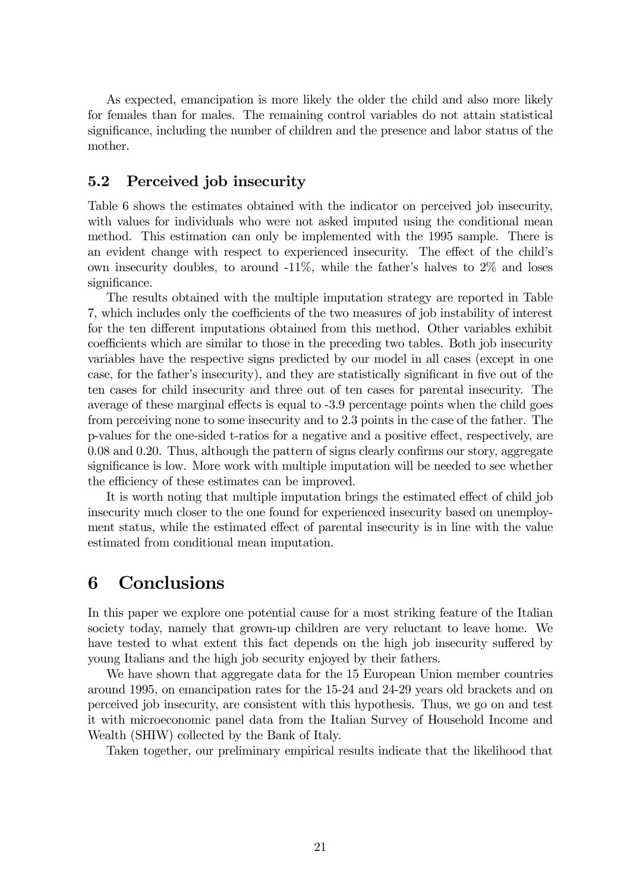As expected, emancipation is more likely the older the child and also more likely for females than for males. The remaining control variables do not attain statistical significance, including the number of children and the presence and labor status of the mother.

## 5.2 Perceived job insecurity

Table 6 shows the estimates obtained with the indicator on perceived job insecurity, with values for individuals who were not asked imputed using the conditional mean method. This estimation can only be implemented with the 1995 sample. There is an evident change with respect to experienced insecurity. The effect of the child's own insecurity doubles, to around -11%, while the father's halves to 2% and loses significance.

The results obtained with the multiple imputation strategy are reported in Table 7, which includes only the coefficients of the two measures of job instability of interest for the ten different imputations obtained from this method. Other variables exhibit coefficients which are similar to those in the preceding two tables. Both job insecurity variables have the respective signs predicted by our model in all cases (except in one case, for the father's insecurity), and they are statistically significant in five out of the ten cases for child insecurity and three out of ten cases for parental insecurity. The average of these marginal effects is equal to -3.9 percentage points when the child goes from perceiving none to some insecurity and to 2.3 points in the case of the father. The p-values for the one-sided t-ratios for a negative and a positive effect, respectively, are 0.08 and 0.20. Thus, although the pattern of signs clearly confirms our story, aggregate significance is low. More work with multiple imputation will be needed to see whether the efficiency of these estimates can be improved.

It is worth noting that multiple imputation brings the estimated effect of child job insecurity much closer to the one found for experienced insecurity based on unemployment status, while the estimated effect of parental insecurity is in line with the value estimated from conditional mean imputation.

# 6 Conclusions

In this paper we explore one potential cause for a most striking feature of the Italian society today, namely that grown-up children are very reluctant to leave home. We have tested to what extent this fact depends on the high job insecurity suffered by young Italians and the high job security enjoyed by their fathers.

We have shown that aggregate data for the 15 European Union member countries around 1995, on emancipation rates for the 15-24 and 24-29 years old brackets and on perceived job insecurity, are consistent with this hypothesis. Thus, we go on and test it with microeconomic panel data from the Italian Survey of Household Income and Wealth (SHIW) collected by the Bank of Italy.

Taken together, our preliminary empirical results indicate that the likelihood that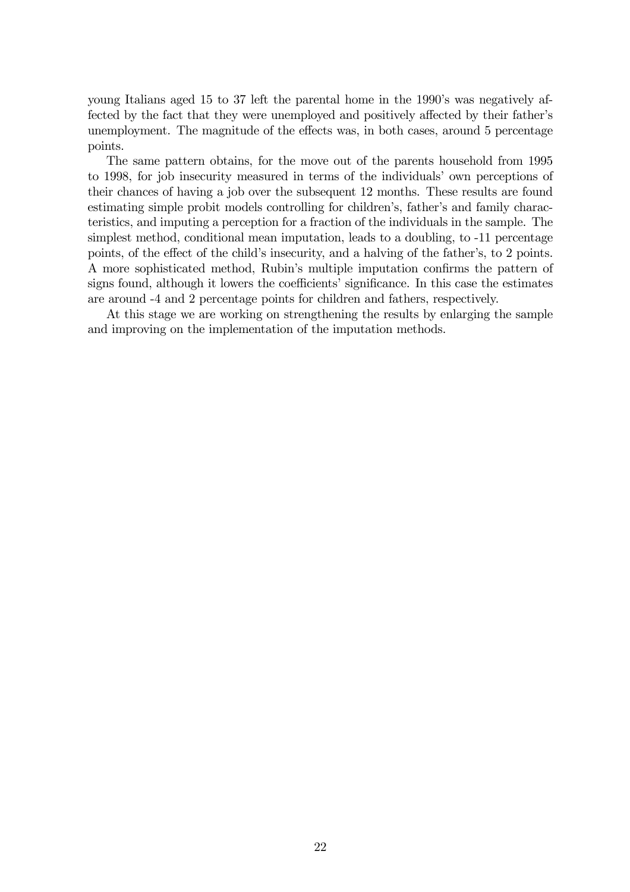young Italians aged 15 to 37 left the parental home in the 1990's was negatively affected by the fact that they were unemployed and positively affected by their father's unemployment. The magnitude of the effects was, in both cases, around 5 percentage points.

The same pattern obtains, for the move out of the parents household from 1995 to 1998, for job insecurity measured in terms of the individuals' own perceptions of their chances of having a job over the subsequent 12 months. These results are found estimating simple probit models controlling for children's, father's and family characteristics, and imputing a perception for a fraction of the individuals in the sample. The simplest method, conditional mean imputation, leads to a doubling, to -11 percentage points, of the effect of the child's insecurity, and a halving of the father's, to 2 points. A more sophisticated method, Rubin's multiple imputation confirms the pattern of signs found, although it lowers the coefficients' significance. In this case the estimates are around -4 and 2 percentage points for children and fathers, respectively.

At this stage we are working on strengthening the results by enlarging the sample and improving on the implementation of the imputation methods.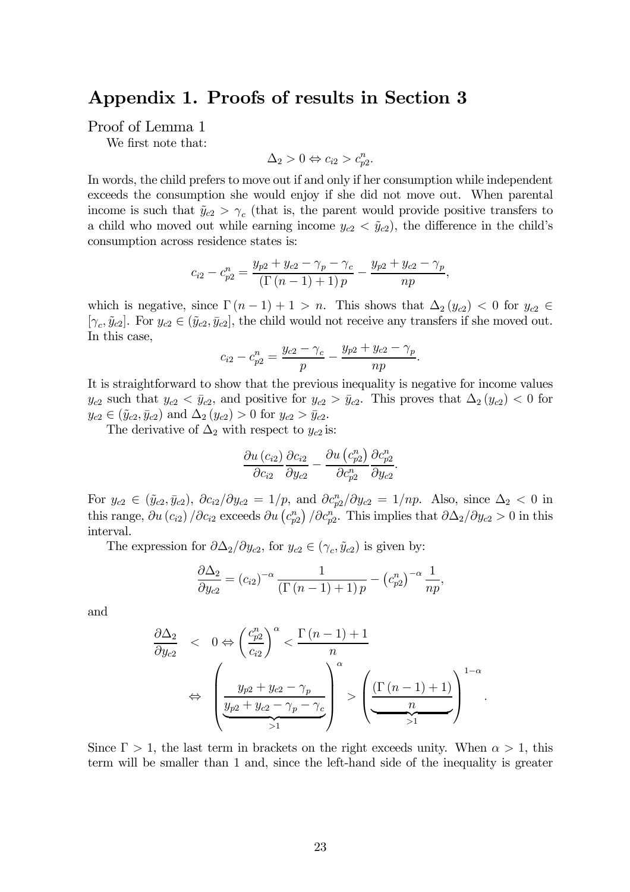# Appendix 1. Proofs of results in Section 3

Proof of Lemma 1

We first note that:

$$
\Delta_2 > 0 \Leftrightarrow c_{i2} > c_{p2}^n.
$$

In words, the child prefers to move out if and only if her consumption while independent exceeds the consumption she would enjoy if she did not move out. When parental income is such that  $\tilde{y}_{c2} > \gamma_c$  (that is, the parent would provide positive transfers to a child who moved out while earning income  $y_{c2} < \tilde{y}_{c2}$ , the difference in the child's consumption across residence states is:

$$
c_{i2} - c_{p2}^{n} = \frac{y_{p2} + y_{c2} - \gamma_p - \gamma_c}{(\Gamma(n-1) + 1)p} - \frac{y_{p2} + y_{c2} - \gamma_p}{np},
$$

which is negative, since  $\Gamma(n-1)+1>n$ . This shows that  $\Delta_2(y_{c2})<0$  for  $y_{c2}\in$  $[\gamma_c, \tilde{y}_{c2}]$ . For  $y_{c2} \in (\tilde{y}_{c2}, \bar{y}_{c2}]$ , the child would not receive any transfers if she moved out. In this case,

$$
c_{i2} - c_{p2}^{n} = \frac{y_{c2} - \gamma_c}{p} - \frac{y_{p2} + y_{c2} - \gamma_p}{np}.
$$

It is straightforward to show that the previous inequality is negative for income values  $y_{c2}$  such that  $y_{c2} < \bar{y}_{c2}$ , and positive for  $y_{c2} > \bar{y}_{c2}$ . This proves that  $\Delta_2(y_{c2}) < 0$  for  $y_{c2} \in (\tilde{y}_{c2}, \bar{y}_{c2})$  and  $\Delta_2(y_{c2}) > 0$  for  $y_{c2} > \bar{y}_{c2}$ .

The derivative of  $\Delta_2$  with respect to  $y_{c2}$  is:

$$
\frac{\partial u\left(c_{i2}\right)}{\partial c_{i2}} \frac{\partial c_{i2}}{\partial y_{c2}} - \frac{\partial u\left(c_{p2}^n\right)}{\partial c_{p2}^n} \frac{\partial c_{p2}^n}{\partial y_{c2}}.
$$

For  $y_{c2} \in (\tilde{y}_{c2}, \bar{y}_{c2}), \ \partial c_{i2}/\partial y_{c2} = 1/p$ , and  $\partial c_{p2}^n/\partial y_{c2} = 1/np$ . Also, since  $\Delta_2 < 0$  in this range,  $\partial u(c_{i2})/\partial c_{i2}$  exceeds  $\partial u(c_{p2}^n)/\partial c_{p2}^n$ . This implies that  $\partial \Delta_2/\partial y_{c2} > 0$  in this interval.

The expression for  $\partial \Delta_2/\partial y_{c2}$ , for  $y_{c2} \in (\gamma_c, \tilde{y}_{c2})$  is given by:

$$
\frac{\partial \Delta_2}{\partial y_{c2}} = (c_{i2})^{-\alpha} \frac{1}{\left(\Gamma\left(n-1\right)+1\right)p} - \left(c_{p2}^n\right)^{-\alpha} \frac{1}{np},
$$

and

$$
\frac{\partial \Delta_2}{\partial y_{c2}} < 0 \Leftrightarrow \left(\frac{c_{p2}^n}{c_{i2}}\right)^\alpha < \frac{\Gamma\left(n-1\right) + 1}{n} \\
\Leftrightarrow \left(\frac{y_{p2} + y_{c2} - \gamma_p}{\frac{y_{p2} + y_{c2} - \gamma_p - \gamma_c}{\beta}}\right) > \left(\frac{\Gamma\left(n-1\right) + 1}{n}\right)^{1-\alpha} \\
\frac{\Gamma\left(n-1\right) + \Gamma\left(n-1\right)}{\gamma_1} > 1\n\end{aligned}
$$

.

Since  $\Gamma > 1$ , the last term in brackets on the right exceeds unity. When  $\alpha > 1$ , this term will be smaller than 1 and, since the left-hand side of the inequality is greater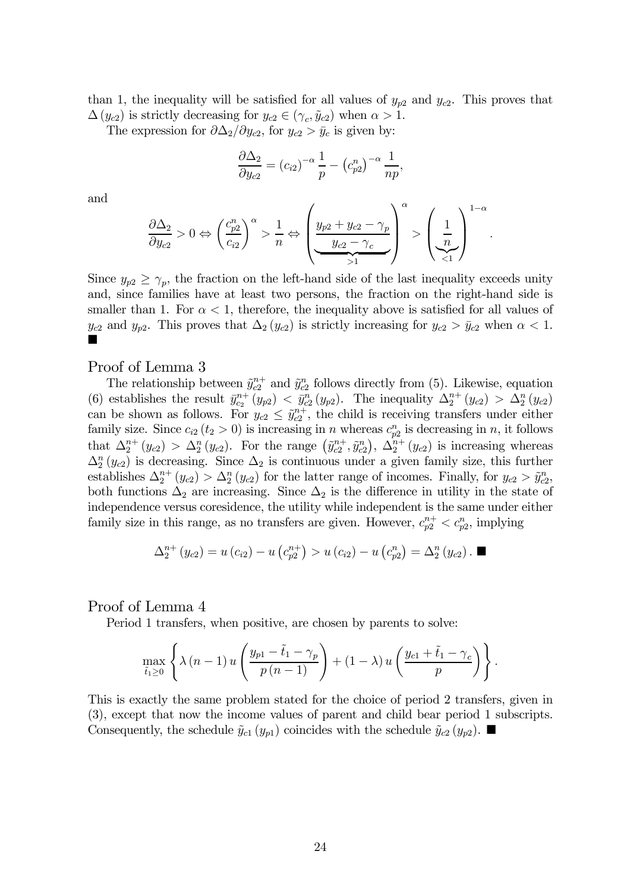than 1, the inequality will be satisfied for all values of  $y_{p2}$  and  $y_{c2}$ . This proves that  $\Delta(y_{c2})$  is strictly decreasing for  $y_{c2} \in (\gamma_c, \tilde{y}_{c2})$  when  $\alpha > 1$ .

The expression for  $\partial \Delta_2/\partial y_{c2}$ , for  $y_{c2} > \bar{y}_c$  is given by:

$$
\frac{\partial \Delta_2}{\partial y_{c2}} = (c_{i2})^{-\alpha} \frac{1}{p} - (c_{p2}^n)^{-\alpha} \frac{1}{np},
$$

and

$$
\frac{\partial \Delta_2}{\partial y_{c2}} > 0 \Leftrightarrow \left(\frac{c_{p2}^n}{c_{i2}}\right)^\alpha > \frac{1}{n} \Leftrightarrow \left(\underbrace{\frac{y_{p2} + y_{c2} - \gamma_p}{y_{c2} - \gamma_c}}_{>1}\right)^\alpha > \left(\underbrace{\frac{1}{n}}_{<1}\right)^{1-\alpha}.
$$

Since  $y_{p2} \geq \gamma_p$ , the fraction on the left-hand side of the last inequality exceeds unity and, since families have at least two persons, the fraction on the right-hand side is smaller than 1. For  $\alpha < 1$ , therefore, the inequality above is satisfied for all values of  $y_{c2}$  and  $y_{p2}$ . This proves that  $\Delta_2(y_{c2})$  is strictly increasing for  $y_{c2} > \bar{y}_{c2}$  when  $\alpha < 1$ . ¥

### Proof of Lemma 3

The relationship between  $\tilde{y}_{c2}^{n+}$  and  $\tilde{y}_{c2}^n$  follows directly from (5). Likewise, equation (6) establishes the result  $\bar{y}_{c_2}^{n+}(y_{p2}) < \bar{y}_{c_2}^n(y_{p2})$ . The inequality  $\Delta_2^{n+}(y_{c2}) > \Delta_2^n(y_{c2})$ can be shown as follows. For  $y_{c2} \leq \tilde{y}_{c2}^{n+}$ , the child is receiving transfers under either family size. Since  $c_{i2}$  ( $t_2 > 0$ ) is increasing in n whereas  $c_{p2}^n$  is decreasing in n, it follows that  $\Delta_2^{n+}(y_{c2}) > \Delta_2^{n}(y_{c2})$ . For the range  $(\tilde{y}_{c2}^{n+}, \tilde{y}_{c2}^{n})$ ,  $\Delta_2^{n+}(y_{c2})$  is increasing whereas  $\Delta_2^n(y_{c2})$  is decreasing. Since  $\Delta_2$  is continuous under a given family size, this further establishes  $\Delta_2^{n+}(y_{c2}) > \Delta_2^{n}(y_{c2})$  for the latter range of incomes. Finally, for  $y_{c2} > \tilde{y}_{c2}^n$ , both functions  $\Delta_2$  are increasing. Since  $\Delta_2$  is the difference in utility in the state of independence versus coresidence, the utility while independent is the same under either family size in this range, as no transfers are given. However,  $c_{p2}^{n+} < c_{p2}^n$ , implying

$$
\Delta_2^{n+}(y_{c2}) = u(c_{i2}) - u(c_{p2}^{n+}) > u(c_{i2}) - u(c_{p2}^{n}) = \Delta_2^{n}(y_{c2}). \blacksquare
$$

### Proof of Lemma 4

Period 1 transfers, when positive, are chosen by parents to solve:

$$
\max_{\tilde{t}_1 \ge 0} \left\{ \lambda (n-1) u \left( \frac{y_{p1} - \tilde{t}_1 - \gamma_p}{p (n-1)} \right) + (1 - \lambda) u \left( \frac{y_{c1} + \tilde{t}_1 - \gamma_c}{p} \right) \right\}.
$$

This is exactly the same problem stated for the choice of period 2 transfers, given in (3), except that now the income values of parent and child bear period 1 subscripts. Consequently, the schedule  $\tilde{y}_{c1} (y_{p1})$  coincides with the schedule  $\tilde{y}_{c2} (y_{p2})$ .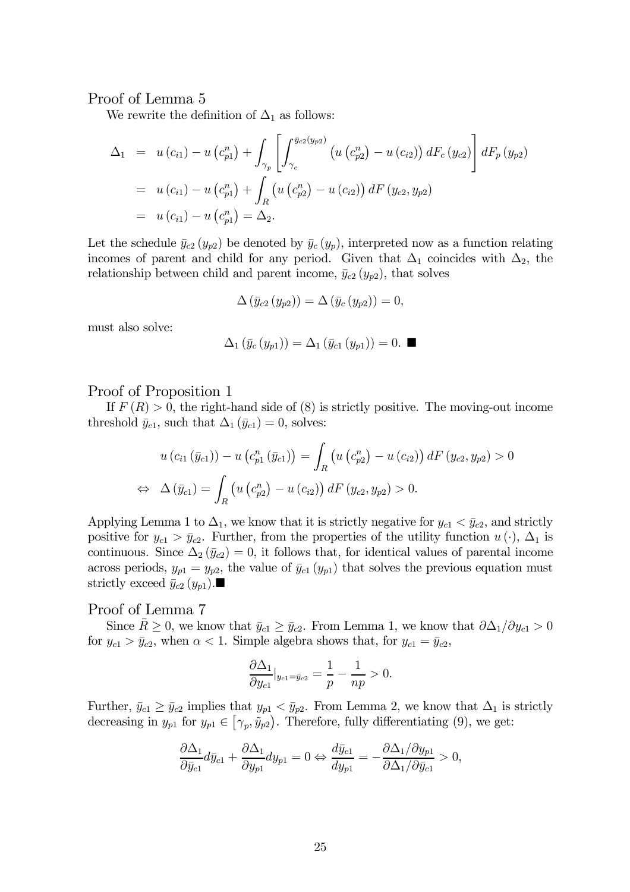## Proof of Lemma 5

We rewrite the definition of  $\Delta_1$  as follows:

$$
\Delta_1 = u(c_{i1}) - u(c_{p1}^n) + \int_{\gamma_p} \left[ \int_{\gamma_c}^{\bar{y}_{c2}(y_{p2})} \left( u(c_{p2}^n) - u(c_{i2}) \right) dF_c(y_{c2}) \right] dF_p(y_{p2})
$$
  
=  $u(c_{i1}) - u(c_{p1}^n) + \int_R \left( u(c_{p2}^n) - u(c_{i2}) \right) dF(y_{c2}, y_{p2})$   
=  $u(c_{i1}) - u(c_{p1}^n) = \Delta_2.$ 

Let the schedule  $\bar{y}_{c2} (y_{p2})$  be denoted by  $\bar{y}_c (y_p)$ , interpreted now as a function relating incomes of parent and child for any period. Given that  $\Delta_1$  coincides with  $\Delta_2$ , the relationship between child and parent income,  $\bar{y}_{c2} (y_{p2})$ , that solves

$$
\Delta\left(\bar{y}_{c2}\left(y_{p2}\right)\right) = \Delta\left(\bar{y}_{c}\left(y_{p2}\right)\right) = 0,
$$

must also solve:

$$
\Delta_1(\bar{y}_c(y_{p1})) = \Delta_1(\bar{y}_{c1}(y_{p1})) = 0. \blacksquare
$$

### Proof of Proposition 1

If  $F(R) > 0$ , the right-hand side of (8) is strictly positive. The moving-out income threshold  $\bar{y}_{c1}$ , such that  $\Delta_1 (\bar{y}_{c1})=0$ , solves:

$$
u(c_{i1}(\bar{y}_{c1})) - u(c_{p1}^{n}(\bar{y}_{c1})) = \int_{R} (u(c_{p2}^{n}) - u(c_{i2})) dF(y_{c2}, y_{p2}) > 0
$$
  
\n
$$
\Leftrightarrow \Delta(\bar{y}_{c1}) = \int_{R} (u(c_{p2}^{n}) - u(c_{i2})) dF(y_{c2}, y_{p2}) > 0.
$$

Applying Lemma 1 to  $\Delta_1$ , we know that it is strictly negative for  $y_{c1} < \bar{y}_{c2}$ , and strictly positive for  $y_{c1} > \bar{y}_{c2}$ . Further, from the properties of the utility function  $u(\cdot)$ ,  $\Delta_1$  is continuous. Since  $\Delta_2(\bar{y}_{c2})=0$ , it follows that, for identical values of parental income across periods,  $y_{p1} = y_{p2}$ , the value of  $\bar{y}_{c1} (y_{p1})$  that solves the previous equation must strictly exceed  $\bar{y}_{c2}(y_{p1})$ .

### Proof of Lemma 7

Since  $\bar{R} \geq 0$ , we know that  $\bar{y}_{c1} \geq \bar{y}_{c2}$ . From Lemma 1, we know that  $\partial \Delta_1/\partial y_{c1} > 0$ for  $y_{c1} > \bar{y}_{c2}$ , when  $\alpha < 1$ . Simple algebra shows that, for  $y_{c1} = \bar{y}_{c2}$ ,

$$
\frac{\partial \Delta_1}{\partial y_{c1}}|_{y_{c1}=\bar{y}_{c2}} = \frac{1}{p} - \frac{1}{np} > 0.
$$

Further,  $\bar{y}_{c1} \ge \bar{y}_{c2}$  implies that  $y_{p1} < \bar{y}_{p2}$ . From Lemma 2, we know that  $\Delta_1$  is strictly decreasing in  $y_{p1}$  for  $y_{p1} \in [\gamma_p, \tilde{y}_{p2})$ . Therefore, fully differentiating (9), we get:

$$
\frac{\partial \Delta_1}{\partial \bar{y}_{c1}} d\bar{y}_{c1} + \frac{\partial \Delta_1}{\partial y_{p1}} dy_{p1} = 0 \Leftrightarrow \frac{d\bar{y}_{c1}}{dy_{p1}} = -\frac{\partial \Delta_1 / \partial y_{p1}}{\partial \Delta_1 / \partial \bar{y}_{c1}} > 0,
$$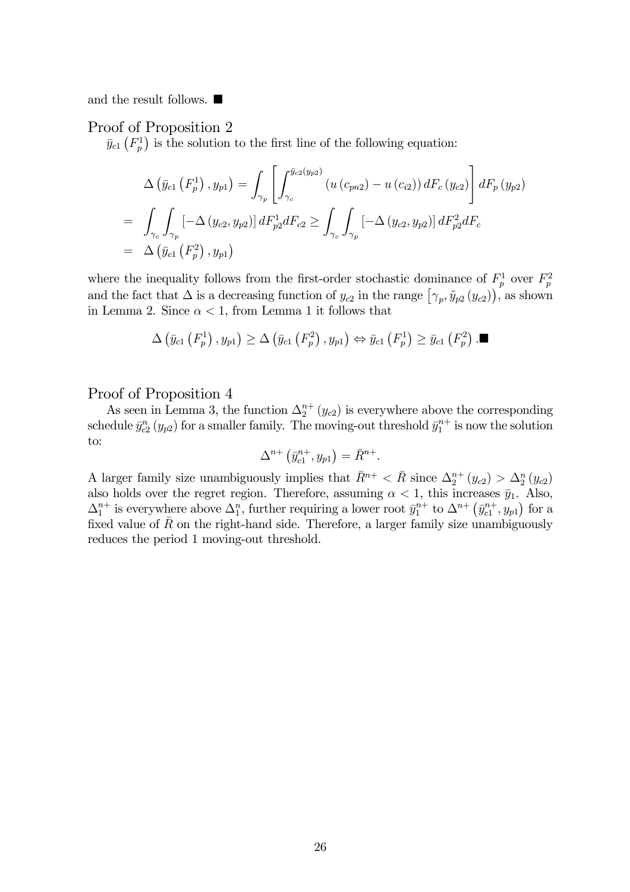and the result follows.  $\blacksquare$ 

### Proof of Proposition 2

 $\bar{y}_{c1}$  ( $F_p^1$ ) is the solution to the first line of the following equation:

$$
\Delta (\bar{y}_{c1} (F_p^1), y_{p1}) = \int_{\gamma_p} \left[ \int_{\gamma_c}^{\bar{y}_{c2}(y_{p2})} (u (c_{pn2}) - u (c_{i2})) dF_c (y_{c2}) \right] dF_p (y_{p2})
$$
  
= 
$$
\int_{\gamma_c} \int_{\gamma_p} \left[ -\Delta (y_{c2}, y_{p2}) \right] dF_{p2}^1 dF_{c2} \ge \int_{\gamma_c} \int_{\gamma_p} \left[ -\Delta (y_{c2}, y_{p2}) \right] dF_{p2}^2 dF_c
$$
  
= 
$$
\Delta (\bar{y}_{c1} (F_p^2), y_{p1})
$$

where the inequality follows from the first-order stochastic dominance of  $F_p^1$  over  $F_p^2$ and the fact that  $\Delta$  is a decreasing function of  $y_{c2}$  in the range  $[\gamma_p, \tilde{y}_{p2}(y_{c2}))$ , as shown in Lemma 2. Since  $\alpha < 1$ , from Lemma 1 it follows that

$$
\Delta(\bar{y}_{c1}\left(F_p^1\right), y_{p1}) \geq \Delta(\bar{y}_{c1}\left(F_p^2\right), y_{p1}) \Leftrightarrow \bar{y}_{c1}\left(F_p^1\right) \geq \bar{y}_{c1}\left(F_p^2\right). \blacksquare
$$

### Proof of Proposition 4

As seen in Lemma 3, the function  $\Delta_2^{n+}(y_{c2})$  is everywhere above the corresponding schedule  $\bar{y}_{c2}^n(y_{p2})$  for a smaller family. The moving-out threshold  $\bar{y}_1^{n+}$  is now the solution to:

$$
\Delta^{n+}\left(\bar{y}_{c1}^{n+},y_{p1}\right)=\bar{R}^{n+}.
$$

A larger family size unambiguously implies that  $\bar{R}^{n+} < \bar{R}$  since  $\Delta_2^{n+} (y_{c2}) > \Delta_2^{n} (y_{c2})$ also holds over the regret region. Therefore, assuming  $\alpha < 1$ , this increases  $\bar{y}_1$ . Also,  $\Delta_1^{n+}$  is everywhere above  $\Delta_1^n$ , further requiring a lower root  $\bar{y}_1^{n+}$  to  $\Delta^{n+}(\bar{y}_{c1}^{n+}, y_{p1})$  for a fixed value of  $\bar{R}$  on the right-hand side. Therefore, a larger family size unambiguously reduces the period 1 moving-out threshold.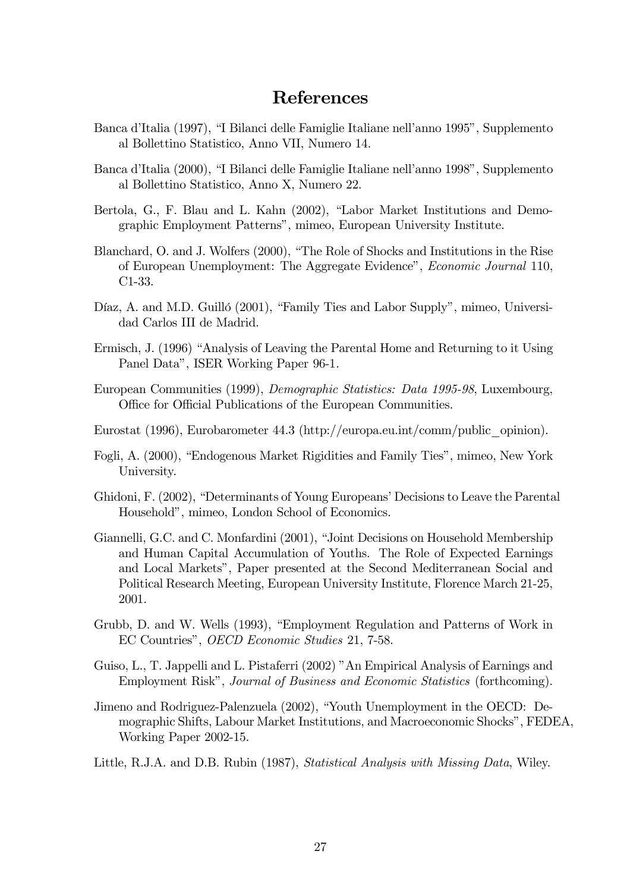# References

- Banca d'Italia (1997), "I Bilanci delle Famiglie Italiane nell'anno 1995", Supplemento al Bollettino Statistico, Anno VII, Numero 14.
- Banca d'Italia (2000), "I Bilanci delle Famiglie Italiane nell'anno 1998", Supplemento al Bollettino Statistico, Anno X, Numero 22.
- Bertola, G., F. Blau and L. Kahn (2002), "Labor Market Institutions and Demographic Employment Patterns", mimeo, European University Institute.
- Blanchard, O. and J. Wolfers (2000), "The Role of Shocks and Institutions in the Rise of European Unemployment: The Aggregate Evidence", Economic Journal 110, C1-33.
- Díaz, A. and M.D. Guilló (2001), "Family Ties and Labor Supply", mimeo, Universidad Carlos III de Madrid.
- Ermisch, J. (1996) "Analysis of Leaving the Parental Home and Returning to it Using Panel Data", ISER Working Paper 96-1.
- European Communities (1999), Demographic Statistics: Data 1995-98, Luxembourg, Office for Official Publications of the European Communities.
- Eurostat (1996), Eurobarometer 44.3 (http://europa.eu.int/comm/public\_opinion).
- Fogli, A. (2000), "Endogenous Market Rigidities and Family Ties", mimeo, New York University.
- Ghidoni, F. (2002), "Determinants of Young Europeans' Decisions to Leave the Parental Household", mimeo, London School of Economics.
- Giannelli, G.C. and C. Monfardini (2001), "Joint Decisions on Household Membership and Human Capital Accumulation of Youths. The Role of Expected Earnings and Local Markets", Paper presented at the Second Mediterranean Social and Political Research Meeting, European University Institute, Florence March 21-25, 2001.
- Grubb, D. and W. Wells (1993), "Employment Regulation and Patterns of Work in EC Countries", OECD Economic Studies 21, 7-58.
- Guiso, L., T. Jappelli and L. Pistaferri (2002) "An Empirical Analysis of Earnings and Employment Risk", Journal of Business and Economic Statistics (forthcoming).
- Jimeno and Rodriguez-Palenzuela (2002), "Youth Unemployment in the OECD: Demographic Shifts, Labour Market Institutions, and Macroeconomic Shocks", FEDEA, Working Paper 2002-15.
- Little, R.J.A. and D.B. Rubin (1987), Statistical Analysis with Missing Data, Wiley.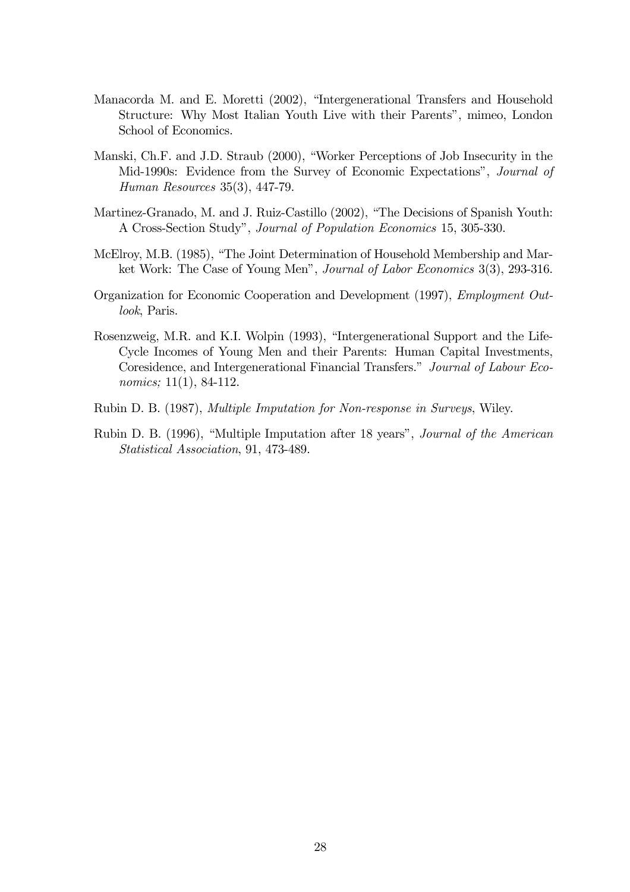- Manacorda M. and E. Moretti (2002), "Intergenerational Transfers and Household Structure: Why Most Italian Youth Live with their Parents", mimeo, London School of Economics.
- Manski, Ch.F. and J.D. Straub (2000), "Worker Perceptions of Job Insecurity in the Mid-1990s: Evidence from the Survey of Economic Expectations", Journal of Human Resources 35(3), 447-79.
- Martinez-Granado, M. and J. Ruiz-Castillo (2002), "The Decisions of Spanish Youth: A Cross-Section Study", Journal of Population Economics 15, 305-330.
- McElroy, M.B. (1985), "The Joint Determination of Household Membership and Market Work: The Case of Young Men", Journal of Labor Economics 3(3), 293-316.
- Organization for Economic Cooperation and Development (1997), Employment Outlook, Paris.
- Rosenzweig, M.R. and K.I. Wolpin (1993), "Intergenerational Support and the Life-Cycle Incomes of Young Men and their Parents: Human Capital Investments, Coresidence, and Intergenerational Financial Transfers." Journal of Labour Economics; 11(1), 84-112.
- Rubin D. B. (1987), Multiple Imputation for Non-response in Surveys, Wiley.
- Rubin D. B. (1996), "Multiple Imputation after 18 years", Journal of the American Statistical Association, 91, 473-489.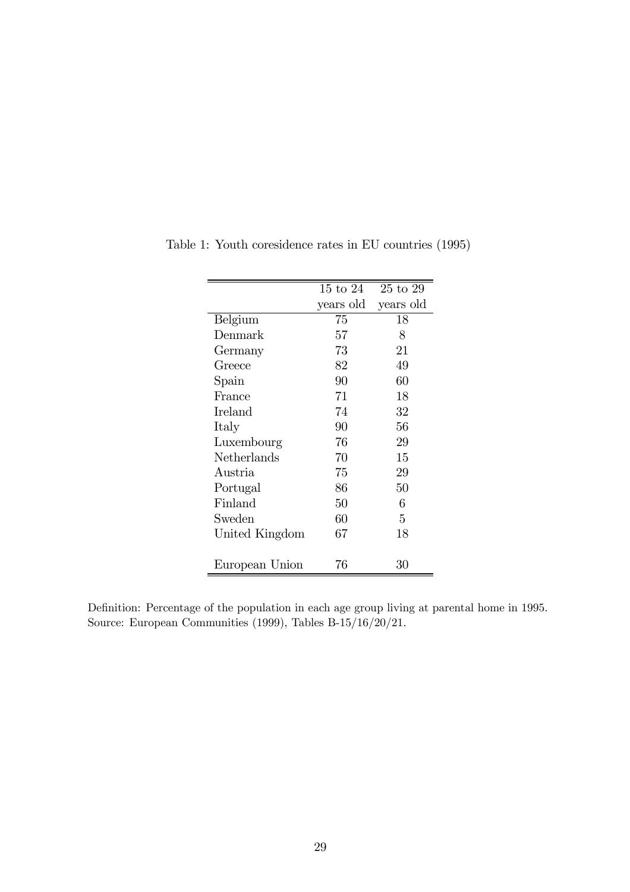|                | $15 \text{ to } 24$ | $25$ to $29$ |
|----------------|---------------------|--------------|
|                | years old           | years old    |
| Belgium        | 75                  | 18           |
| Denmark        | 57                  | 8            |
| Germany        | 73                  | 21           |
| Greece         | 82                  | 49           |
| Spain          | 90                  | 60           |
| France         | 71                  | 18           |
| Ireland        | 74                  | 32           |
| Italy          | 90                  | 56           |
| Luxembourg     | 76                  | 29           |
| Netherlands    | 70                  | 15           |
| Austria        | 75                  | 29           |
| Portugal       | 86                  | 50           |
| Finland        | 50                  | 6            |
| Sweden         | 60                  | 5            |
| United Kingdom | 67                  | 18           |
|                |                     |              |
| European Union | 76                  | 30           |

Table 1: Youth coresidence rates in EU countries (1995)

Definition: Percentage of the population in each age group living at parental home in 1995. Source: European Communities (1999), Tables B-15/16/20/21.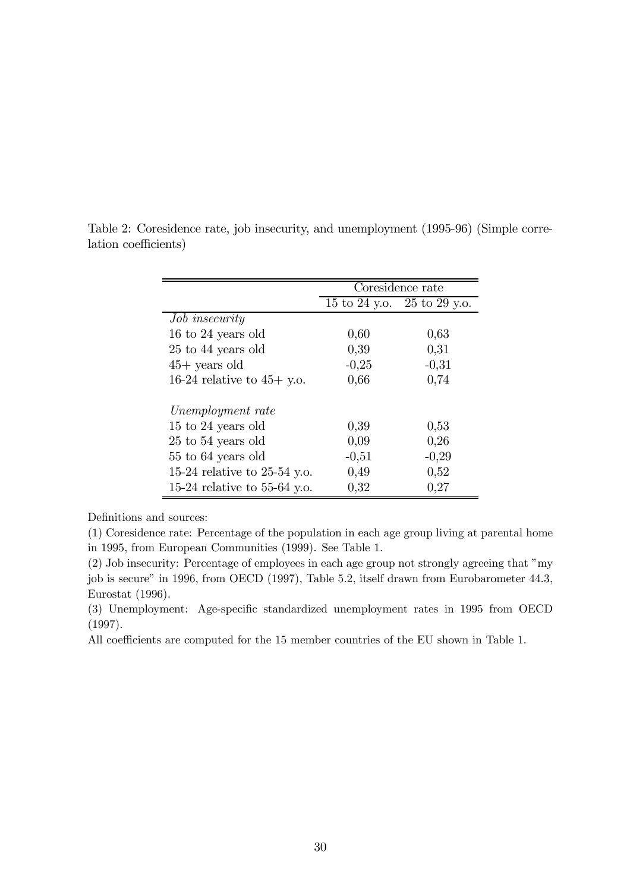|                              | Coresidence rate |                             |  |
|------------------------------|------------------|-----------------------------|--|
|                              |                  | 15 to 24 y.o. 25 to 29 y.o. |  |
| <i>Job insecurity</i>        |                  |                             |  |
| 16 to 24 years old           | 0,60             | 0,63                        |  |
| 25 to 44 years old           | 0,39             | 0,31                        |  |
| $45+$ years old              | $-0,25$          | $-0,31$                     |  |
| 16-24 relative to $45+$ y.o. | 0,66             | 0,74                        |  |
|                              |                  |                             |  |
| Unemployment rate            |                  |                             |  |
| 15 to 24 years old           | 0,39             | 0,53                        |  |
| 25 to 54 years old           | 0,09             | 0,26                        |  |
| 55 to 64 years old           | $-0,51$          | $-0,29$                     |  |
| 15-24 relative to 25-54 y.o. | 0,49             | 0,52                        |  |
| 15-24 relative to 55-64 y.o. | 0,32             | 0,27                        |  |

Table 2: Coresidence rate, job insecurity, and unemployment (1995-96) (Simple correlation coefficients)

Definitions and sources:

(1) Coresidence rate: Percentage of the population in each age group living at parental home in 1995, from European Communities (1999). See Table 1.

(2) Job insecurity: Percentage of employees in each age group not strongly agreeing that "my job is secure" in 1996, from OECD (1997), Table 5.2, itself drawn from Eurobarometer 44.3, Eurostat (1996).

(3) Unemployment: Age-specific standardized unemployment rates in 1995 from OECD (1997).

All coefficients are computed for the 15 member countries of the EU shown in Table 1.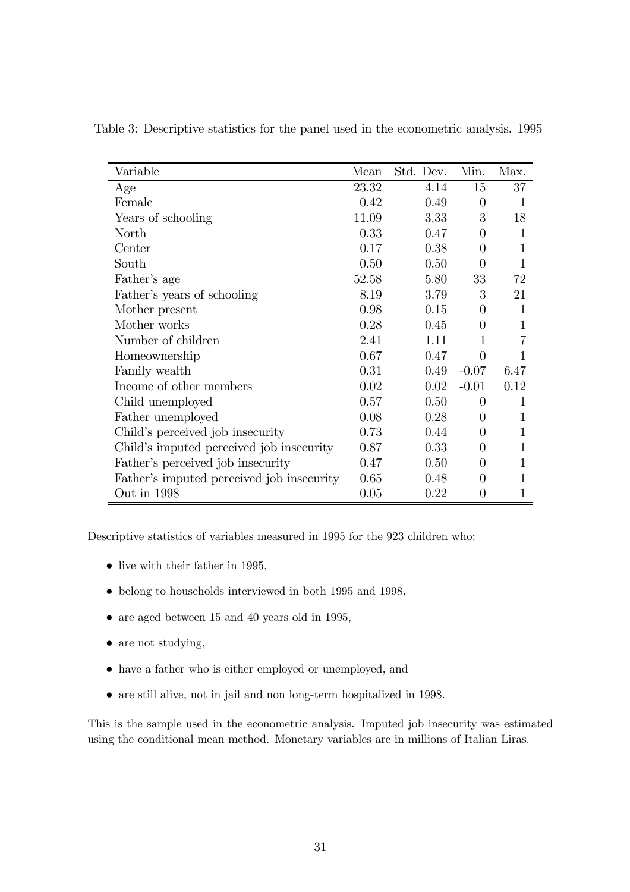| Variable                                  | Mean  | Std. Dev. | Min.             | Max.         |
|-------------------------------------------|-------|-----------|------------------|--------------|
| Age                                       | 23.32 | 4.14      | 15               | 37           |
| Female                                    | 0.42  | 0.49      | $\theta$         | 1            |
| Years of schooling                        | 11.09 | 3.33      | 3                | 18           |
| North                                     | 0.33  | 0.47      | 0                | $\mathbf{1}$ |
| Center                                    | 0.17  | 0.38      | 0                | 1            |
| South                                     | 0.50  | 0.50      | $\Omega$         | 1            |
| Father's age                              | 52.58 | 5.80      | 33               | 72           |
| Father's years of schooling               | 8.19  | 3.79      | 3                | 21           |
| Mother present                            | 0.98  | 0.15      | 0                | 1            |
| Mother works                              | 0.28  | 0.45      | 0                | 1            |
| Number of children                        | 2.41  | 1.11      | 1                |              |
| Homeownership                             | 0.67  | 0.47      | 0                |              |
| Family wealth                             | 0.31  | 0.49      | $-0.07$          | 6.47         |
| Income of other members                   | 0.02  | 0.02      | $-0.01$          | 0.12         |
| Child unemployed                          | 0.57  | 0.50      | 0                | 1            |
| Father unemployed                         | 0.08  | 0.28      | 0                | 1            |
| Child's perceived job insecurity          | 0.73  | 0.44      | 0                | 1            |
| Child's imputed perceived job insecurity  | 0.87  | 0.33      | $\left( \right)$ | 1            |
| Father's perceived job insecurity         | 0.47  | 0.50      | 0                | 1            |
| Father's imputed perceived job insecurity | 0.65  | 0.48      | $\left( \right)$ |              |
| Out in 1998                               | 0.05  | 0.22      | $\overline{0}$   |              |

Table 3: Descriptive statistics for the panel used in the econometric analysis. 1995

Descriptive statistics of variables measured in 1995 for the 923 children who:

- live with their father in 1995,
- belong to households interviewed in both 1995 and 1998,
- are aged between 15 and 40 years old in 1995,
- are not studying,
- have a father who is either employed or unemployed, and
- are still alive, not in jail and non long-term hospitalized in 1998.

This is the sample used in the econometric analysis. Imputed job insecurity was estimated using the conditional mean method. Monetary variables are in millions of Italian Liras.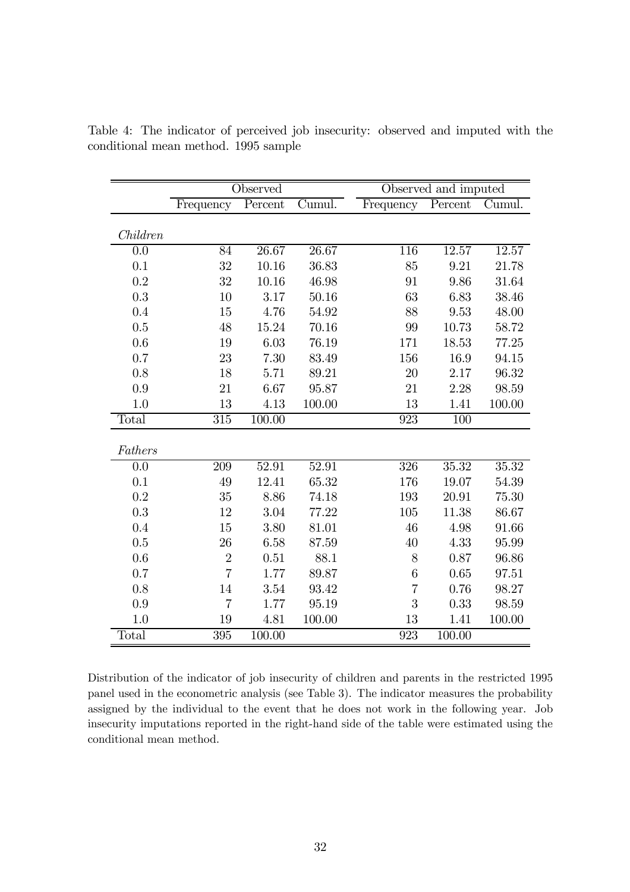|                  |                  | Observed |                               |                  | Observed and imputed |                             |
|------------------|------------------|----------|-------------------------------|------------------|----------------------|-----------------------------|
|                  | Frequency        | Percent  | $\overline{\mathrm{C}}$ umul. | Frequency        | Percent              | $\overline{\text{Cumul}}$ . |
|                  |                  |          |                               |                  |                      |                             |
| Children         |                  |          |                               |                  |                      |                             |
| $\overline{0.0}$ | 84               | 26.67    | 26.67                         | 116              | 12.57                | 12.57                       |
| 0.1              | 32               | 10.16    | 36.83                         | 85               | 9.21                 | 21.78                       |
| 0.2              | 32               | 10.16    | 46.98                         | 91               | 9.86                 | 31.64                       |
| 0.3              | 10               | 3.17     | 50.16                         | 63               | 6.83                 | 38.46                       |
| 0.4              | 15               | 4.76     | 54.92                         | 88               | 9.53                 | 48.00                       |
| 0.5              | 48               | 15.24    | 70.16                         | 99               | 10.73                | 58.72                       |
| 0.6              | 19               | 6.03     | 76.19                         | 171              | 18.53                | 77.25                       |
| 0.7              | 23               | 7.30     | 83.49                         | 156              | 16.9                 | 94.15                       |
| 0.8              | 18               | 5.71     | 89.21                         | 20               | 2.17                 | 96.32                       |
| 0.9              | 21               | 6.67     | 95.87                         | 21               | 2.28                 | 98.59                       |
| 1.0              | 13               | 4.13     | 100.00                        | 13               | 1.41                 | 100.00                      |
| Total            | $\overline{315}$ | 100.00   |                               | $\overline{923}$ | $\overline{100}$     |                             |
|                  |                  |          |                               |                  |                      |                             |
| Fathers          |                  |          |                               |                  |                      |                             |
| $\overline{0.0}$ | 209              | 52.91    | 52.91                         | 326              | 35.32                | 35.32                       |
| 0.1              | 49               | 12.41    | 65.32                         | 176              | 19.07                | 54.39                       |
| 0.2              | 35               | 8.86     | 74.18                         | 193              | 20.91                | 75.30                       |
| 0.3              | 12               | 3.04     | 77.22                         | 105              | 11.38                | 86.67                       |
| 0.4              | 15               | 3.80     | 81.01                         | 46               | 4.98                 | 91.66                       |
| 0.5              | 26               | 6.58     | 87.59                         | 40               | 4.33                 | 95.99                       |
| 0.6              | $\overline{2}$   | 0.51     | 88.1                          | 8                | 0.87                 | 96.86                       |
| 0.7              | $\overline{7}$   | 1.77     | 89.87                         | 6                | 0.65                 | 97.51                       |
| 0.8              | 14               | 3.54     | 93.42                         | $\overline{7}$   | 0.76                 | 98.27                       |
| 0.9              | $\overline{7}$   | 1.77     | 95.19                         | 3                | 0.33                 | 98.59                       |
| 1.0              | 19               | 4.81     | 100.00                        | 13               | 1.41                 | 100.00                      |
| Total            | 395              | 100.00   |                               | 923              | 100.00               |                             |

Table 4: The indicator of perceived job insecurity: observed and imputed with the conditional mean method. 1995 sample

Distribution of the indicator of job insecurity of children and parents in the restricted 1995 panel used in the econometric analysis (see Table 3). The indicator measures the probability assigned by the individual to the event that he does not work in the following year. Job insecurity imputations reported in the right-hand side of the table were estimated using the conditional mean method.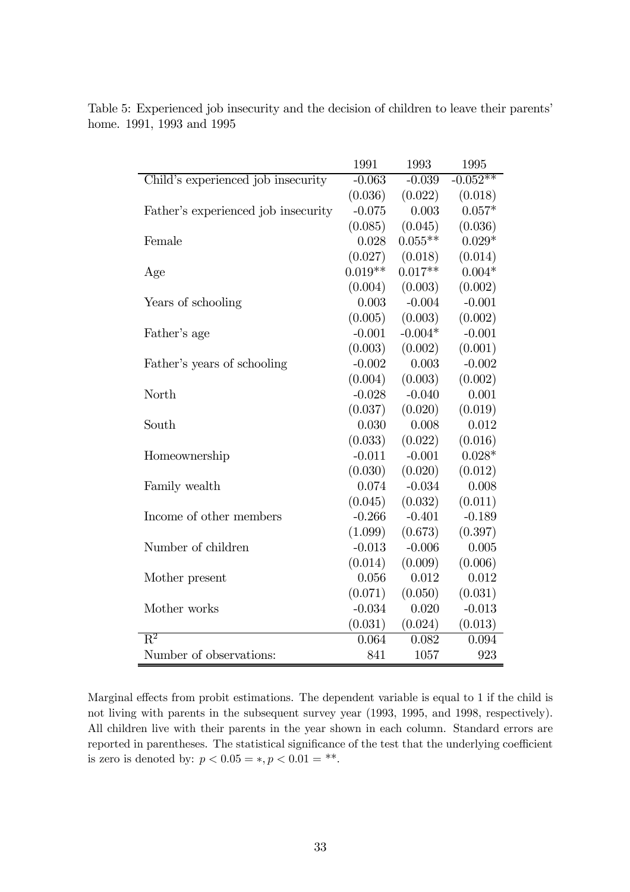|                                     | 1991      | 1993      | 1995       |
|-------------------------------------|-----------|-----------|------------|
| Child's experienced job insecurity  | $-0.063$  | $-0.039$  | $-0.052**$ |
|                                     | (0.036)   | (0.022)   | (0.018)    |
| Father's experienced job insecurity | $-0.075$  | 0.003     | $0.057*$   |
|                                     | (0.085)   | (0.045)   | (0.036)    |
| Female                              | 0.028     | $0.055**$ | $0.029*$   |
|                                     | (0.027)   | (0.018)   | (0.014)    |
| Age                                 | $0.019**$ | $0.017**$ | $0.004*$   |
|                                     | (0.004)   | (0.003)   | (0.002)    |
| Years of schooling                  | 0.003     | $-0.004$  | $-0.001$   |
|                                     | (0.005)   | (0.003)   | (0.002)    |
| Father's age                        | $-0.001$  | $-0.004*$ | $-0.001$   |
|                                     | (0.003)   | (0.002)   | (0.001)    |
| Father's years of schooling         | $-0.002$  | 0.003     | $-0.002$   |
|                                     | (0.004)   | (0.003)   | (0.002)    |
| North                               | $-0.028$  | $-0.040$  | 0.001      |
|                                     | (0.037)   | (0.020)   | (0.019)    |
| South                               | 0.030     | 0.008     | 0.012      |
|                                     | (0.033)   | (0.022)   | (0.016)    |
| Homeownership                       | $-0.011$  | $-0.001$  | $0.028*$   |
|                                     | (0.030)   | (0.020)   | (0.012)    |
| Family wealth                       | 0.074     | $-0.034$  | 0.008      |
|                                     | (0.045)   | (0.032)   | (0.011)    |
| Income of other members             | $-0.266$  | $-0.401$  | $-0.189$   |
|                                     | (1.099)   | (0.673)   | (0.397)    |
| Number of children                  | $-0.013$  | $-0.006$  | 0.005      |
|                                     | (0.014)   | (0.009)   | (0.006)    |
| Mother present                      | 0.056     | 0.012     | 0.012      |
|                                     | (0.071)   | (0.050)   | (0.031)    |
| Mother works                        | $-0.034$  | 0.020     | $-0.013$   |
|                                     | (0.031)   | (0.024)   | (0.013)    |
| $\overline{\mathrm{R}^2}$           | 0.064     | 0.082     | 0.094      |
| Number of observations:             | 841       | 1057      | 923        |

Table 5: Experienced job insecurity and the decision of children to leave their parents' home. 1991, 1993 and 1995

Marginal effects from probit estimations. The dependent variable is equal to 1 if the child is not living with parents in the subsequent survey year (1993, 1995, and 1998, respectively). All children live with their parents in the year shown in each column. Standard errors are reported in parentheses. The statistical significance of the test that the underlying coefficient is zero is denoted by:  $p < 0.05 = *, p < 0.01 = **$ .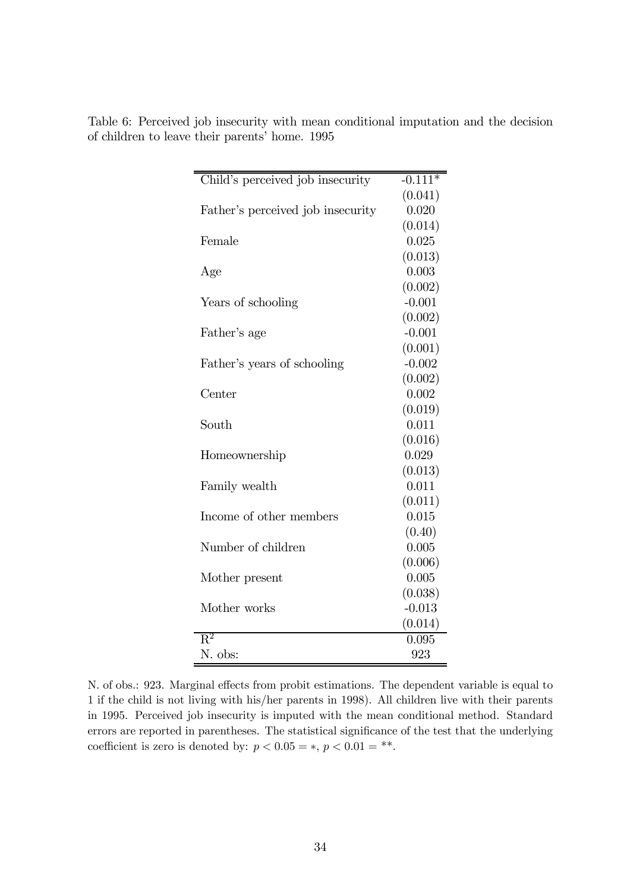| Child's perceived job insecurity  | $-0.111*$ |
|-----------------------------------|-----------|
|                                   | (0.041)   |
| Father's perceived job insecurity | 0.020     |
|                                   | (0.014)   |
| Female                            | 0.025     |
|                                   | (0.013)   |
| Age                               | 0.003     |
|                                   | (0.002)   |
| Years of schooling                | $-0.001$  |
|                                   | (0.002)   |
| Father's age                      | $-0.001$  |
|                                   | (0.001)   |
| Father's years of schooling       | $-0.002$  |
|                                   | (0.002)   |
| Center                            | 0.002     |
|                                   | (0.019)   |
| South                             | 0.011     |
|                                   | (0.016)   |
| Homeownership                     | 0.029     |
|                                   | (0.013)   |
| Family wealth                     | 0.011     |
|                                   | (0.011)   |
| Income of other members           | 0.015     |
|                                   | (0.40)    |
| Number of children                | 0.005     |
|                                   | (0.006)   |
| Mother present                    | 0.005     |
|                                   | (0.038)   |
| Mother works                      | $-0.013$  |
|                                   | (0.014)   |
| $\overline{\mathrm{R}^2}$         | 0.095     |
| N. obs:                           | 923       |

Table 6: Perceived job insecurity with mean conditional imputation and the decision of children to leave their parents' home. 1995

N. of obs.: 923. Marginal effects from probit estimations. The dependent variable is equal to 1 if the child is not living with his/her parents in 1998). All children live with their parents in 1995. Perceived job insecurity is imputed with the mean conditional method. Standard errors are reported in parentheses. The statistical significance of the test that the underlying coefficient is zero is denoted by:  $p < 0.05 = *, p < 0.01 = **$ .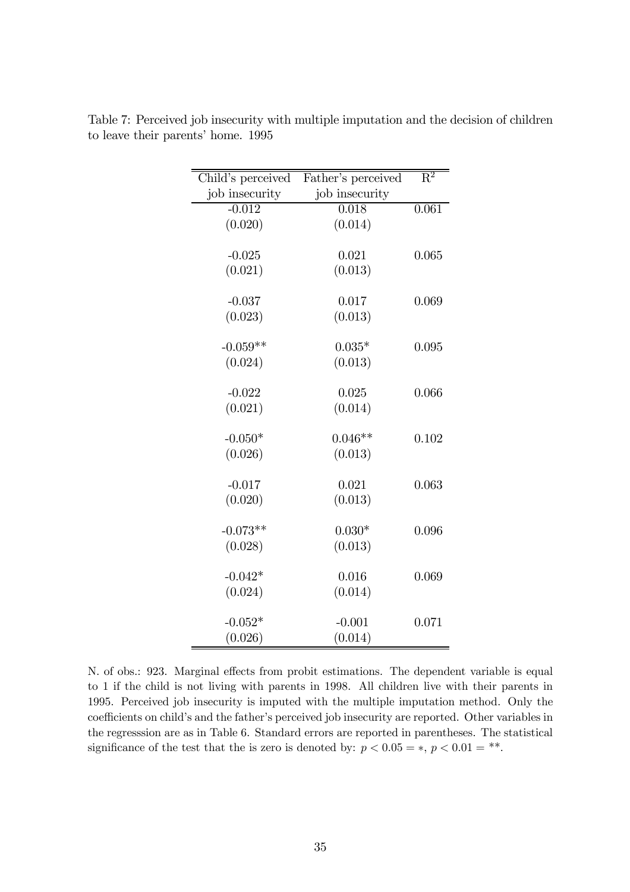| Child's perceived | Father's perceived | $\overline{\mathrm{R}^2}$ |
|-------------------|--------------------|---------------------------|
| job insecurity    | job insecurity     |                           |
| $-0.012$          | 0.018              | $0.\overline{061}$        |
| (0.020)           | (0.014)            |                           |
|                   |                    |                           |
| $-0.025$          | 0.021              | 0.065                     |
| (0.021)           | (0.013)            |                           |
|                   |                    |                           |
| $-0.037$          | 0.017              | 0.069                     |
| (0.023)           | (0.013)            |                           |
|                   |                    |                           |
| $-0.059**$        | $0.035*$           | 0.095                     |
| (0.024)           | (0.013)            |                           |
|                   |                    |                           |
| $-0.022$          | 0.025              | 0.066                     |
| (0.021)           | (0.014)            |                           |
|                   |                    |                           |
| $-0.050*$         | $0.046**$          | 0.102                     |
| (0.026)           | (0.013)            |                           |
|                   |                    |                           |
| $-0.017$          | 0.021              | 0.063                     |
| (0.020)           | (0.013)            |                           |
|                   |                    |                           |
| $-0.073**$        | $0.030*$           | 0.096                     |
| (0.028)           | (0.013)            |                           |
|                   |                    |                           |
| $-0.042*$         | 0.016              | 0.069                     |
| (0.024)           | (0.014)            |                           |
|                   |                    |                           |
| $-0.052*$         | $-0.001$           | 0.071                     |
| (0.026)           | (0.014)            |                           |

Table 7: Perceived job insecurity with multiple imputation and the decision of children to leave their parents' home. 1995

N. of obs.: 923. Marginal effects from probit estimations. The dependent variable is equal to 1 if the child is not living with parents in 1998. All children live with their parents in 1995. Perceived job insecurity is imputed with the multiple imputation method. Only the coefficients on child's and the father's perceived job insecurity are reported. Other variables in the regresssion are as in Table 6. Standard errors are reported in parentheses. The statistical significance of the test that the is zero is denoted by:  $p < 0.05 = *, p < 0.01 = **$ .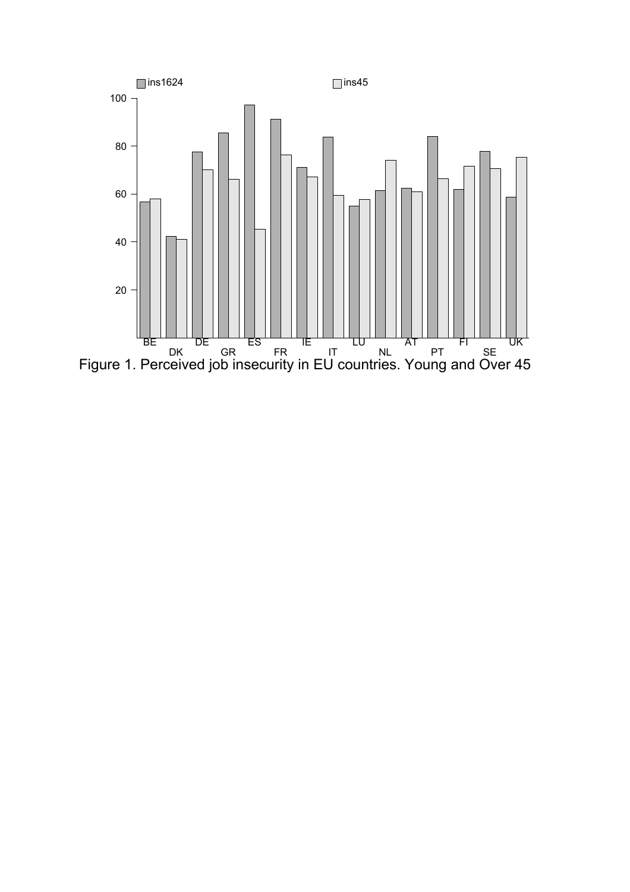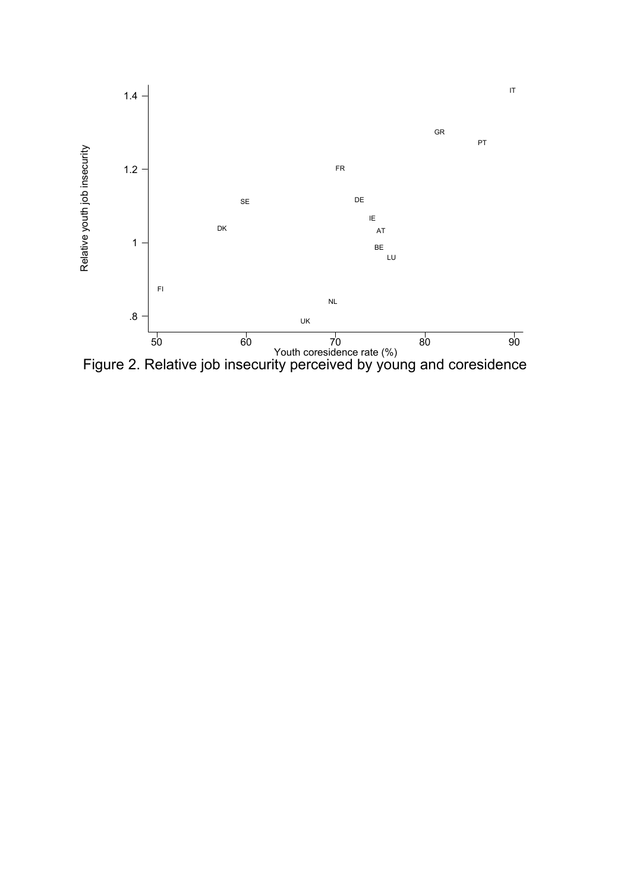

Figure 2. Relative job insecurity perceived by young and coresidence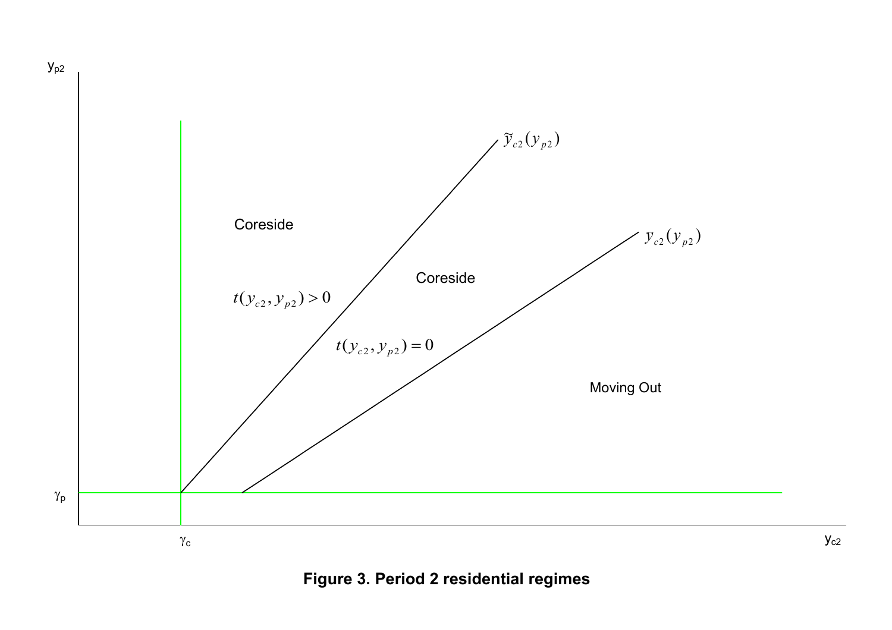

 $y_{p2}$ 

**Figure 3. Period 2 residential regimes**

 $\mathsf{y}_{\text{c2}}$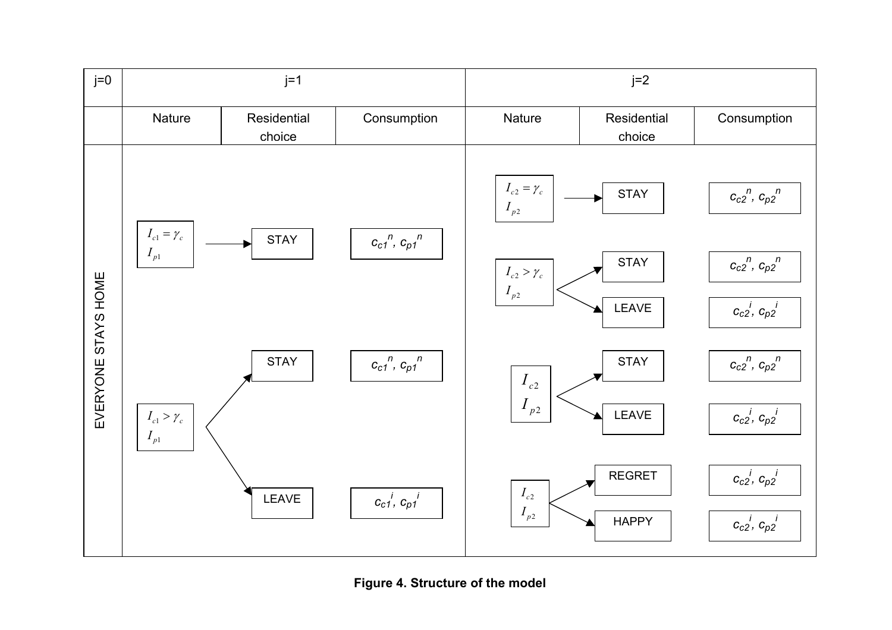

**Figure 4. Structure of the model**